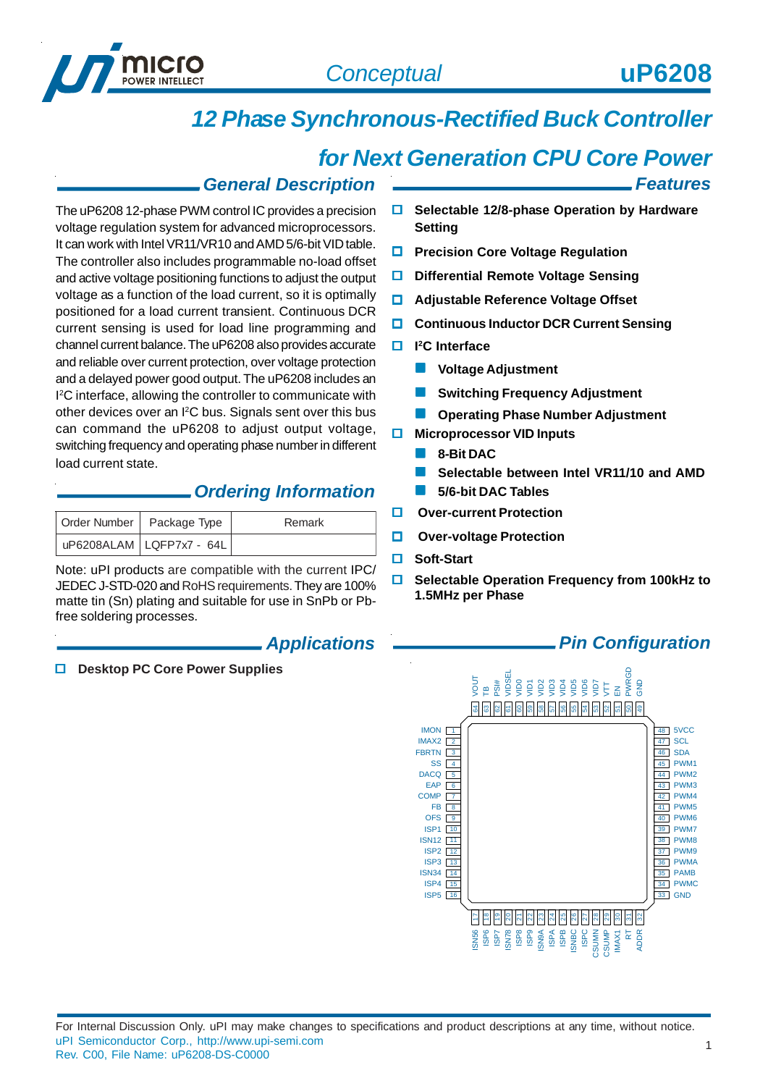

*Features*

# *12 Phase Synchronous-Rectified Buck Controller*

# *for Next Generation CPU Core Power*

## *General Description*

The uP6208 12-phase PWM control IC provides a precision voltage regulation system for advanced microprocessors. It can work with Intel VR11/VR10 and AMD 5/6-bit VID table. The controller also includes programmable no-load offset and active voltage positioning functions to adjust the output voltage as a function of the load current, so it is optimally positioned for a load current transient. Continuous DCR current sensing is used for load line programming and channel current balance. The uP6208 also provides accurate and reliable over current protection, over voltage protection and a delayed power good output. The uP6208 includes an I 2 C interface, allowing the controller to communicate with other devices over an I<sup>2</sup>C bus. Signals sent over this bus can command the uP6208 to adjust output voltage, switching frequency and operating phase number in different load current state.

## *Ordering Information*

| Order Number   Package Type | Remark |
|-----------------------------|--------|
| UP6208ALAM LQFP7x7 - 64L    |        |

Note: uPI products are compatible with the current IPC/ JEDEC J-STD-020 and RoHS requirements. They are 100% matte tin (Sn) plating and suitable for use in SnPb or Pbfree soldering processes.

### *Applications*

**Desktop PC Core Power Supplies**

- **Selectable 12/8-phase Operation by Hardware Setting**
- **Precision Core Voltage Regulation**
- **Differential Remote Voltage Sensing**
- **Adjustable Reference Voltage Offset**
- **Continuous Inductor DCR Current Sensing**
- **I 2C Interface**
	- **Voltage Adjustment**
	- **Switching Frequency Adjustment**
	- **Operating Phase Number Adjustment**
- **Microprocessor VID Inputs** 
	- **8-Bit DAC**
	- **Selectable between Intel VR11/10 and AMD**
	- **5/6-bit DAC Tables**
- **Over-current Protection**
- **D** Over-voltage Protection
- **Soft-Start**
- **Selectable Operation Frequency from 100kHz to 1.5MHz per Phase**

## *Pin Configuration*

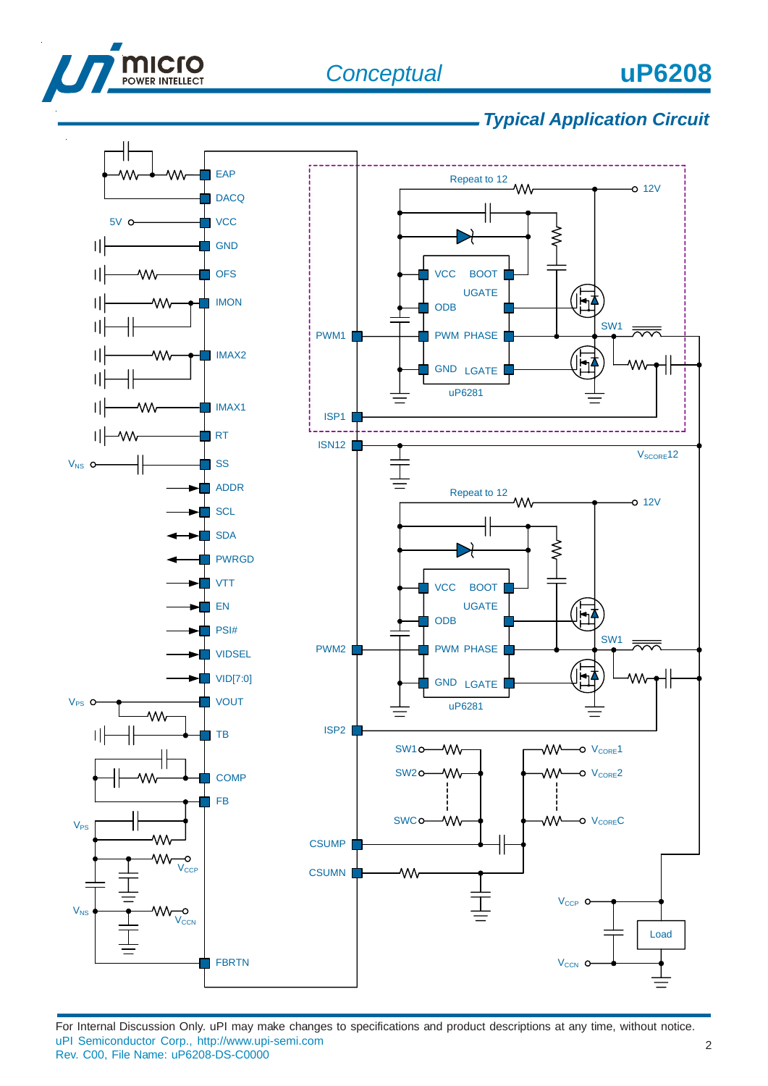

# *Typical Application Circuit*

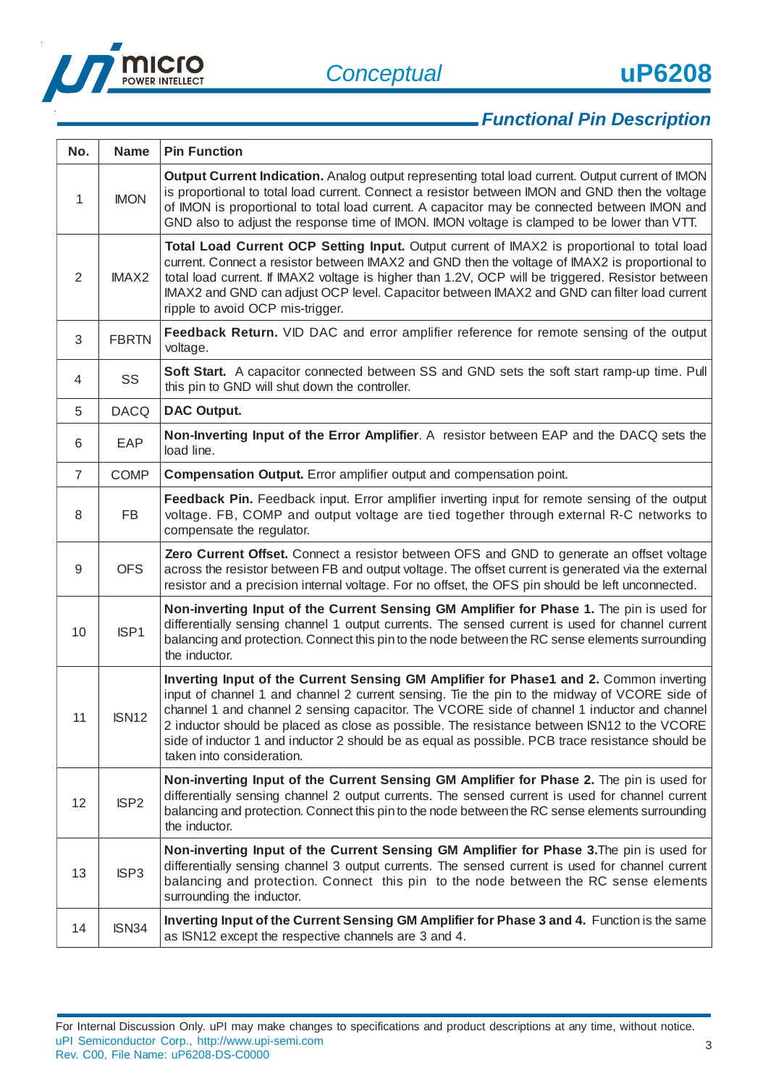

3

# *Functional Pin Description*

| No.            | <b>Name</b>      | <b>Pin Function</b>                                                                                                                                                                                                                                                                                                                                                                                                                                                                                                   |
|----------------|------------------|-----------------------------------------------------------------------------------------------------------------------------------------------------------------------------------------------------------------------------------------------------------------------------------------------------------------------------------------------------------------------------------------------------------------------------------------------------------------------------------------------------------------------|
| 1              | <b>IMON</b>      | Output Current Indication. Analog output representing total load current. Output current of IMON<br>is proportional to total load current. Connect a resistor between IMON and GND then the voltage<br>of IMON is proportional to total load current. A capacitor may be connected between IMON and<br>GND also to adjust the response time of IMON. IMON voltage is clamped to be lower than VTT.                                                                                                                    |
| $\overline{2}$ | <b>IMAX2</b>     | Total Load Current OCP Setting Input. Output current of IMAX2 is proportional to total load<br>current. Connect a resistor between IMAX2 and GND then the voltage of IMAX2 is proportional to<br>total load current. If IMAX2 voltage is higher than 1.2V, OCP will be triggered. Resistor between<br>IMAX2 and GND can adjust OCP level. Capacitor between IMAX2 and GND can filter load current<br>ripple to avoid OCP mis-trigger.                                                                                 |
| 3              | <b>FBRTN</b>     | Feedback Return. VID DAC and error amplifier reference for remote sensing of the output<br>voltage.                                                                                                                                                                                                                                                                                                                                                                                                                   |
| 4              | SS               | Soft Start. A capacitor connected between SS and GND sets the soft start ramp-up time. Pull<br>this pin to GND will shut down the controller.                                                                                                                                                                                                                                                                                                                                                                         |
| 5              | <b>DACQ</b>      | <b>DAC Output.</b>                                                                                                                                                                                                                                                                                                                                                                                                                                                                                                    |
| 6              | EAP              | Non-Inverting Input of the Error Amplifier. A resistor between EAP and the DACQ sets the<br>load line.                                                                                                                                                                                                                                                                                                                                                                                                                |
| $\overline{7}$ | <b>COMP</b>      | <b>Compensation Output.</b> Error amplifier output and compensation point.                                                                                                                                                                                                                                                                                                                                                                                                                                            |
| 8              | <b>FB</b>        | Feedback Pin. Feedback input. Error amplifier inverting input for remote sensing of the output<br>voltage. FB, COMP and output voltage are tied together through external R-C networks to<br>compensate the regulator.                                                                                                                                                                                                                                                                                                |
| 9              | <b>OFS</b>       | Zero Current Offset. Connect a resistor between OFS and GND to generate an offset voltage<br>across the resistor between FB and output voltage. The offset current is generated via the external<br>resistor and a precision internal voltage. For no offset, the OFS pin should be left unconnected.                                                                                                                                                                                                                 |
| 10             | ISP1             | Non-inverting Input of the Current Sensing GM Amplifier for Phase 1. The pin is used for<br>differentially sensing channel 1 output currents. The sensed current is used for channel current<br>balancing and protection. Connect this pin to the node between the RC sense elements surrounding<br>the inductor.                                                                                                                                                                                                     |
| 11             | <b>ISN12</b>     | Inverting Input of the Current Sensing GM Amplifier for Phase1 and 2. Common inverting<br>input of channel 1 and channel 2 current sensing. Tie the pin to the midway of VCORE side of<br>channel 1 and channel 2 sensing capacitor. The VCORE side of channel 1 inductor and channel<br>2 inductor should be placed as close as possible. The resistance between ISN12 to the VCORE<br>side of inductor 1 and inductor 2 should be as equal as possible. PCB trace resistance should be<br>taken into consideration. |
| 12             | ISP <sub>2</sub> | Non-inverting Input of the Current Sensing GM Amplifier for Phase 2. The pin is used for<br>differentially sensing channel 2 output currents. The sensed current is used for channel current<br>balancing and protection. Connect this pin to the node between the RC sense elements surrounding<br>the inductor.                                                                                                                                                                                                     |
| 13             | ISP <sub>3</sub> | Non-inverting Input of the Current Sensing GM Amplifier for Phase 3. The pin is used for<br>differentially sensing channel 3 output currents. The sensed current is used for channel current<br>balancing and protection. Connect this pin to the node between the RC sense elements<br>surrounding the inductor.                                                                                                                                                                                                     |
| 14             | ISN34            | Inverting Input of the Current Sensing GM Amplifier for Phase 3 and 4. Function is the same<br>as ISN12 except the respective channels are 3 and 4.                                                                                                                                                                                                                                                                                                                                                                   |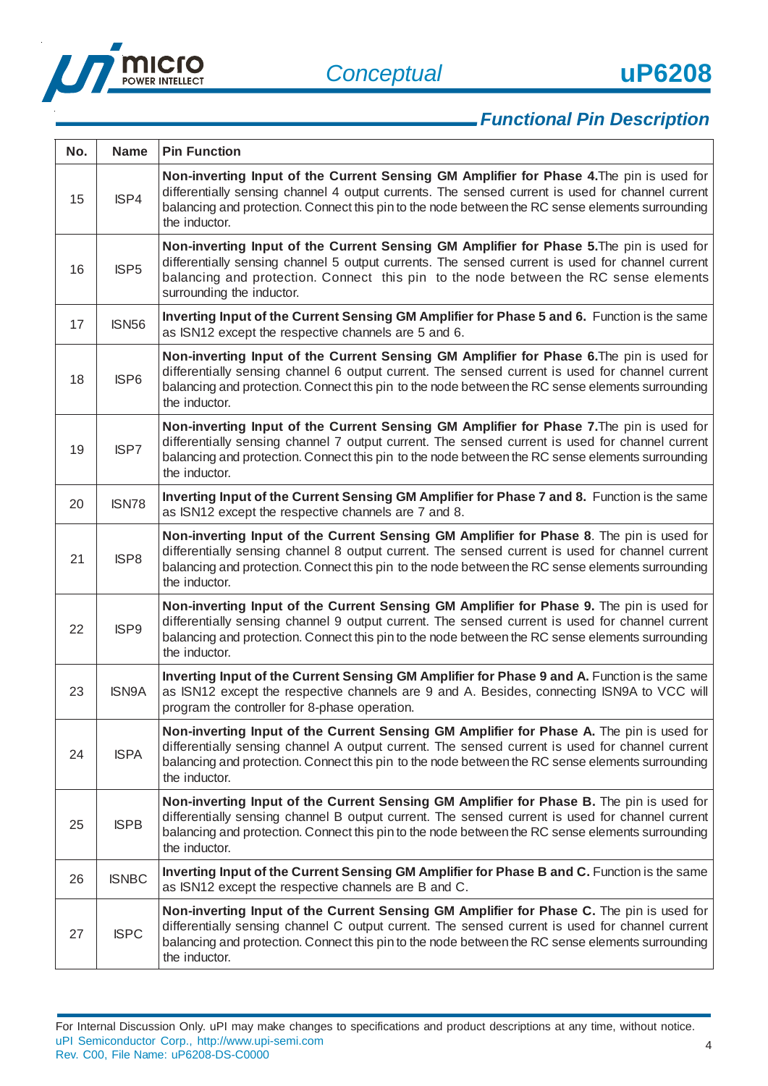

| No. | <b>Name</b>      | <b>Pin Function</b>                                                                                                                                                                                                                                                                                               |
|-----|------------------|-------------------------------------------------------------------------------------------------------------------------------------------------------------------------------------------------------------------------------------------------------------------------------------------------------------------|
| 15  | ISP4             | Non-inverting Input of the Current Sensing GM Amplifier for Phase 4. The pin is used for<br>differentially sensing channel 4 output currents. The sensed current is used for channel current<br>balancing and protection. Connect this pin to the node between the RC sense elements surrounding<br>the inductor. |
| 16  | ISP <sub>5</sub> | Non-inverting Input of the Current Sensing GM Amplifier for Phase 5. The pin is used for<br>differentially sensing channel 5 output currents. The sensed current is used for channel current<br>balancing and protection. Connect this pin to the node between the RC sense elements<br>surrounding the inductor. |
| 17  | <b>ISN56</b>     | Inverting Input of the Current Sensing GM Amplifier for Phase 5 and 6. Function is the same<br>as ISN12 except the respective channels are 5 and 6.                                                                                                                                                               |
| 18  | ISP <sub>6</sub> | Non-inverting Input of the Current Sensing GM Amplifier for Phase 6. The pin is used for<br>differentially sensing channel 6 output current. The sensed current is used for channel current<br>balancing and protection. Connect this pin to the node between the RC sense elements surrounding<br>the inductor.  |
| 19  | ISP7             | Non-inverting Input of the Current Sensing GM Amplifier for Phase 7. The pin is used for<br>differentially sensing channel 7 output current. The sensed current is used for channel current<br>balancing and protection. Connect this pin to the node between the RC sense elements surrounding<br>the inductor.  |
| 20  | <b>ISN78</b>     | Inverting Input of the Current Sensing GM Amplifier for Phase 7 and 8. Function is the same<br>as ISN12 except the respective channels are 7 and 8.                                                                                                                                                               |
| 21  | ISP8             | Non-inverting Input of the Current Sensing GM Amplifier for Phase 8. The pin is used for<br>differentially sensing channel 8 output current. The sensed current is used for channel current<br>balancing and protection. Connect this pin to the node between the RC sense elements surrounding<br>the inductor.  |
| 22  | ISP9             | Non-inverting Input of the Current Sensing GM Amplifier for Phase 9. The pin is used for<br>differentially sensing channel 9 output current. The sensed current is used for channel current<br>balancing and protection. Connect this pin to the node between the RC sense elements surrounding<br>the inductor.  |
| 23  | <b>ISN9A</b>     | Inverting Input of the Current Sensing GM Amplifier for Phase 9 and A. Function is the same<br>as ISN12 except the respective channels are 9 and A. Besides, connecting ISN9A to VCC will<br>program the controller for 8-phase operation.                                                                        |
| 24  | <b>ISPA</b>      | Non-inverting Input of the Current Sensing GM Amplifier for Phase A. The pin is used for<br>differentially sensing channel A output current. The sensed current is used for channel current<br>balancing and protection. Connect this pin to the node between the RC sense elements surrounding<br>the inductor.  |
| 25  | <b>ISPB</b>      | Non-inverting Input of the Current Sensing GM Amplifier for Phase B. The pin is used for<br>differentially sensing channel B output current. The sensed current is used for channel current<br>balancing and protection. Connect this pin to the node between the RC sense elements surrounding<br>the inductor.  |
| 26  | <b>ISNBC</b>     | Inverting Input of the Current Sensing GM Amplifier for Phase B and C. Function is the same<br>as ISN12 except the respective channels are B and C.                                                                                                                                                               |
| 27  | <b>ISPC</b>      | Non-inverting Input of the Current Sensing GM Amplifier for Phase C. The pin is used for<br>differentially sensing channel C output current. The sensed current is used for channel current<br>balancing and protection. Connect this pin to the node between the RC sense elements surrounding<br>the inductor.  |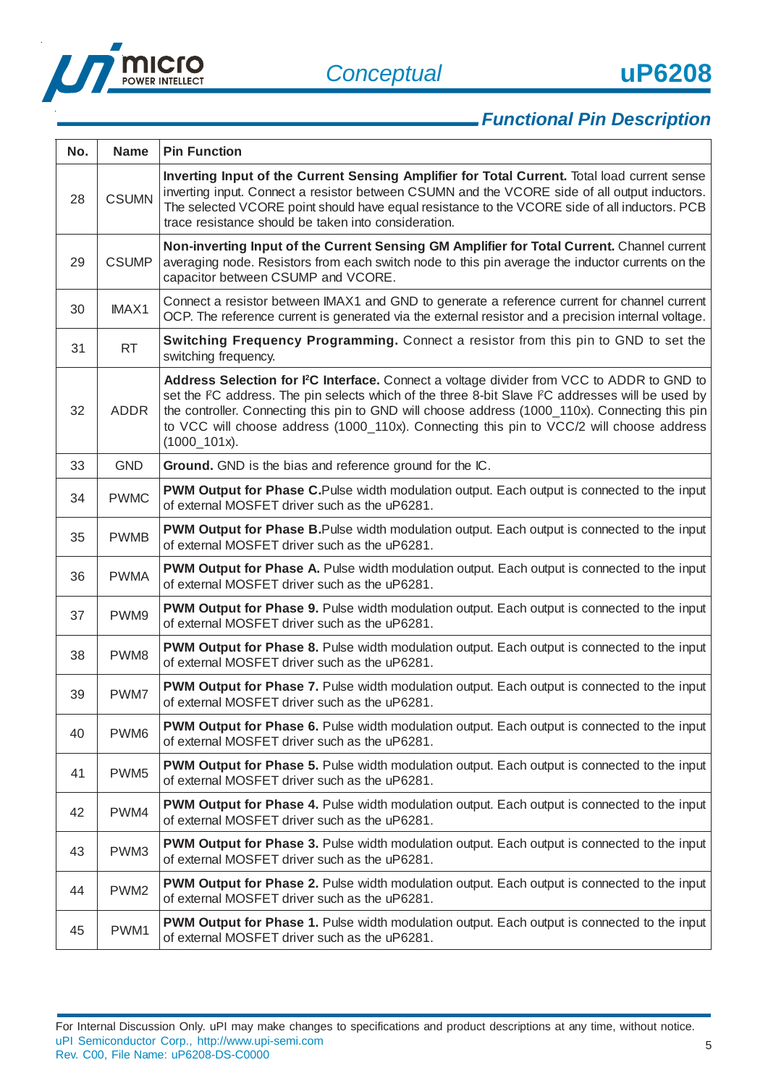

| No. | <b>Name</b>      | <b>Pin Function</b>                                                                                                                                                                                                                                                                                                                                                                                                         |
|-----|------------------|-----------------------------------------------------------------------------------------------------------------------------------------------------------------------------------------------------------------------------------------------------------------------------------------------------------------------------------------------------------------------------------------------------------------------------|
| 28  | <b>CSUMN</b>     | Inverting Input of the Current Sensing Amplifier for Total Current. Total load current sense<br>inverting input. Connect a resistor between CSUMN and the VCORE side of all output inductors.<br>The selected VCORE point should have equal resistance to the VCORE side of all inductors. PCB<br>trace resistance should be taken into consideration.                                                                      |
| 29  | <b>CSUMP</b>     | Non-inverting Input of the Current Sensing GM Amplifier for Total Current. Channel current<br>averaging node. Resistors from each switch node to this pin average the inductor currents on the<br>capacitor between CSUMP and VCORE.                                                                                                                                                                                        |
| 30  | IMAX1            | Connect a resistor between IMAX1 and GND to generate a reference current for channel current<br>OCP. The reference current is generated via the external resistor and a precision internal voltage.                                                                                                                                                                                                                         |
| 31  | <b>RT</b>        | Switching Frequency Programming. Connect a resistor from this pin to GND to set the<br>switching frequency.                                                                                                                                                                                                                                                                                                                 |
| 32  | <b>ADDR</b>      | Address Selection for I <sup>2</sup> C Interface. Connect a voltage divider from VCC to ADDR to GND to<br>set the PC address. The pin selects which of the three 8-bit Slave PC addresses will be used by<br>the controller. Connecting this pin to GND will choose address (1000_110x). Connecting this pin<br>to VCC will choose address (1000_110x). Connecting this pin to VCC/2 will choose address<br>$(1000\_101x).$ |
| 33  | <b>GND</b>       | Ground. GND is the bias and reference ground for the IC.                                                                                                                                                                                                                                                                                                                                                                    |
| 34  | <b>PWMC</b>      | PWM Output for Phase C.Pulse width modulation output. Each output is connected to the input<br>of external MOSFET driver such as the uP6281.                                                                                                                                                                                                                                                                                |
| 35  | <b>PWMB</b>      | PWM Output for Phase B.Pulse width modulation output. Each output is connected to the input<br>of external MOSFET driver such as the uP6281.                                                                                                                                                                                                                                                                                |
| 36  | <b>PWMA</b>      | PWM Output for Phase A. Pulse width modulation output. Each output is connected to the input<br>of external MOSFET driver such as the uP6281.                                                                                                                                                                                                                                                                               |
| 37  | PWM9             | PWM Output for Phase 9. Pulse width modulation output. Each output is connected to the input<br>of external MOSFET driver such as the uP6281.                                                                                                                                                                                                                                                                               |
| 38  | PWM8             | PWM Output for Phase 8. Pulse width modulation output. Each output is connected to the input<br>of external MOSFET driver such as the uP6281.                                                                                                                                                                                                                                                                               |
| 39  | PWM7             | PWM Output for Phase 7. Pulse width modulation output. Each output is connected to the input<br>of external MOSFET driver such as the uP6281.                                                                                                                                                                                                                                                                               |
| 40  | PWM6             | PWM Output for Phase 6. Pulse width modulation output. Each output is connected to the input<br>of external MOSFET driver such as the uP6281.                                                                                                                                                                                                                                                                               |
| 41  | PWM <sub>5</sub> | PWM Output for Phase 5. Pulse width modulation output. Each output is connected to the input<br>of external MOSFET driver such as the uP6281.                                                                                                                                                                                                                                                                               |
| 42  | PWM4             | PWM Output for Phase 4. Pulse width modulation output. Each output is connected to the input<br>of external MOSFET driver such as the uP6281.                                                                                                                                                                                                                                                                               |
| 43  | PWM3             | PWM Output for Phase 3. Pulse width modulation output. Each output is connected to the input<br>of external MOSFET driver such as the uP6281.                                                                                                                                                                                                                                                                               |
| 44  | PWM <sub>2</sub> | PWM Output for Phase 2. Pulse width modulation output. Each output is connected to the input<br>of external MOSFET driver such as the uP6281.                                                                                                                                                                                                                                                                               |
| 45  | PWM1             | PWM Output for Phase 1. Pulse width modulation output. Each output is connected to the input<br>of external MOSFET driver such as the uP6281.                                                                                                                                                                                                                                                                               |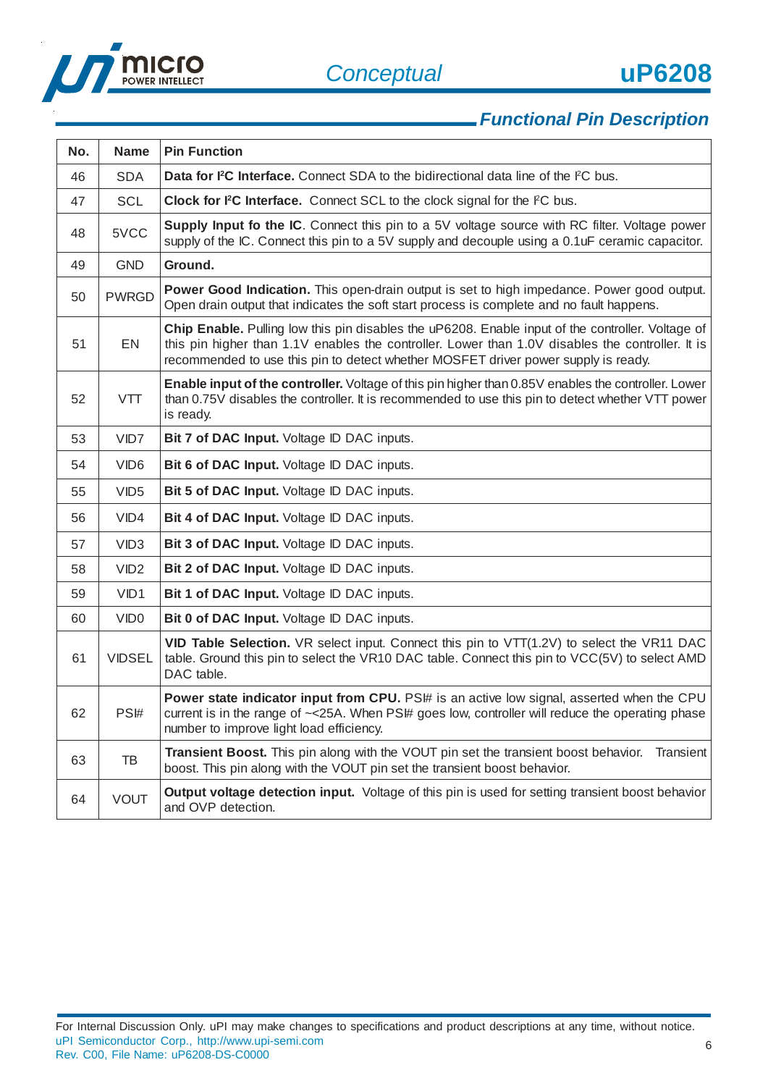

6

# *Functional Pin Description*

| No. | <b>Name</b>      | <b>Pin Function</b>                                                                                                                                                                                                                                                                         |
|-----|------------------|---------------------------------------------------------------------------------------------------------------------------------------------------------------------------------------------------------------------------------------------------------------------------------------------|
| 46  | <b>SDA</b>       | <b>Data for PC Interface.</b> Connect SDA to the bidirectional data line of the PC bus.                                                                                                                                                                                                     |
| 47  | <b>SCL</b>       | Clock for I <sup>2</sup> C Interface. Connect SCL to the clock signal for the I <sup>2</sup> C bus.                                                                                                                                                                                         |
| 48  | 5VCC             | <b>Supply Input fo the IC.</b> Connect this pin to a 5V voltage source with RC filter. Voltage power<br>supply of the IC. Connect this pin to a 5V supply and decouple using a 0.1uF ceramic capacitor.                                                                                     |
| 49  | <b>GND</b>       | Ground.                                                                                                                                                                                                                                                                                     |
| 50  | <b>PWRGD</b>     | Power Good Indication. This open-drain output is set to high impedance. Power good output.<br>Open drain output that indicates the soft start process is complete and no fault happens.                                                                                                     |
| 51  | EN               | Chip Enable. Pulling low this pin disables the uP6208. Enable input of the controller. Voltage of<br>this pin higher than 1.1V enables the controller. Lower than 1.0V disables the controller. It is<br>recommended to use this pin to detect whether MOSFET driver power supply is ready. |
| 52  | <b>VTT</b>       | Enable input of the controller. Voltage of this pin higher than 0.85V enables the controller. Lower<br>than 0.75V disables the controller. It is recommended to use this pin to detect whether VTT power<br>is ready.                                                                       |
| 53  | VID7             | Bit 7 of DAC Input. Voltage ID DAC inputs.                                                                                                                                                                                                                                                  |
| 54  | VID <sub>6</sub> | Bit 6 of DAC Input. Voltage ID DAC inputs.                                                                                                                                                                                                                                                  |
| 55  | VID <sub>5</sub> | Bit 5 of DAC Input. Voltage ID DAC inputs.                                                                                                                                                                                                                                                  |
| 56  | VID4             | Bit 4 of DAC Input. Voltage ID DAC inputs.                                                                                                                                                                                                                                                  |
| 57  | VID <sub>3</sub> | Bit 3 of DAC Input. Voltage ID DAC inputs.                                                                                                                                                                                                                                                  |
| 58  | VID <sub>2</sub> | Bit 2 of DAC Input. Voltage ID DAC inputs.                                                                                                                                                                                                                                                  |
| 59  | VID1             | Bit 1 of DAC Input. Voltage ID DAC inputs.                                                                                                                                                                                                                                                  |
| 60  | VID <sub>0</sub> | Bit 0 of DAC Input. Voltage ID DAC inputs.                                                                                                                                                                                                                                                  |
| 61  | <b>VIDSEL</b>    | VID Table Selection. VR select input. Connect this pin to VTT(1.2V) to select the VR11 DAC<br>table. Ground this pin to select the VR10 DAC table. Connect this pin to VCC(5V) to select AMD<br>DAC table.                                                                                  |
| 62  | PS#              | Power state indicator input from CPU. PS# is an active low signal, asserted when the CPU<br>current is in the range of ~< 25A. When PS\# goes low, controller will reduce the operating phase<br>number to improve light load efficiency.                                                   |
| 63  | TB               | Transient Boost. This pin along with the VOUT pin set the transient boost behavior.<br>Transient<br>boost. This pin along with the VOUT pin set the transient boost behavior.                                                                                                               |
| 64  | <b>VOUT</b>      | <b>Output voltage detection input.</b> Voltage of this pin is used for setting transient boost behavior<br>and OVP detection.                                                                                                                                                               |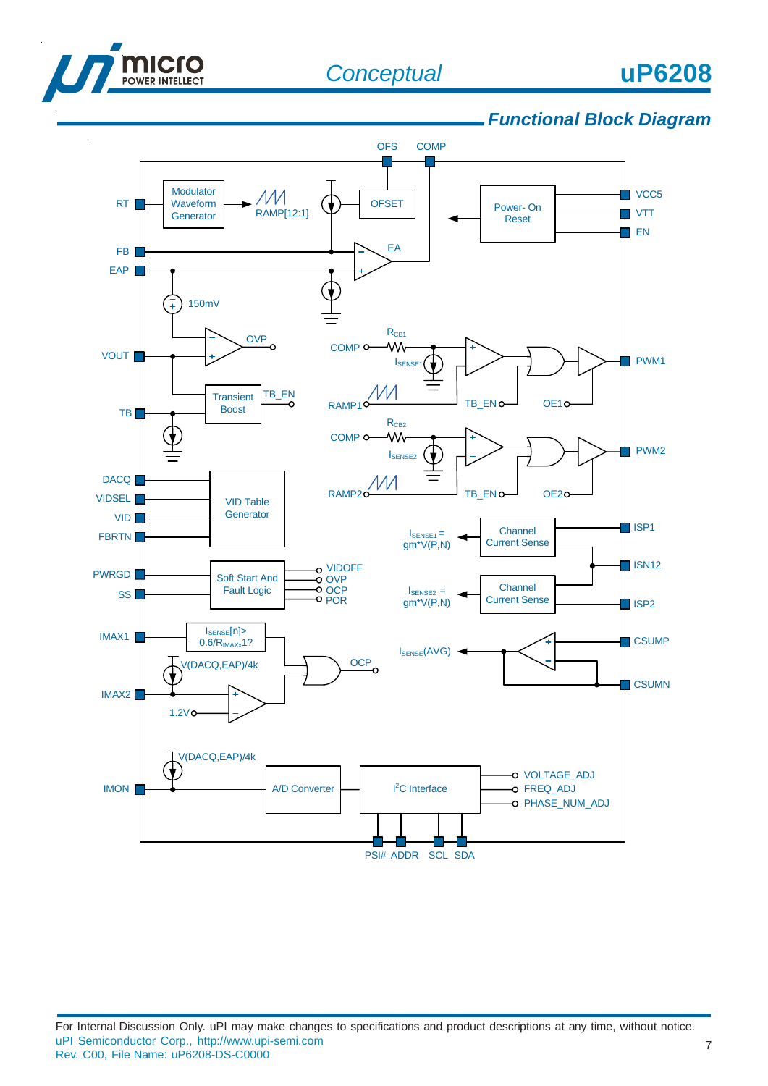



## *Functional Block Diagram*

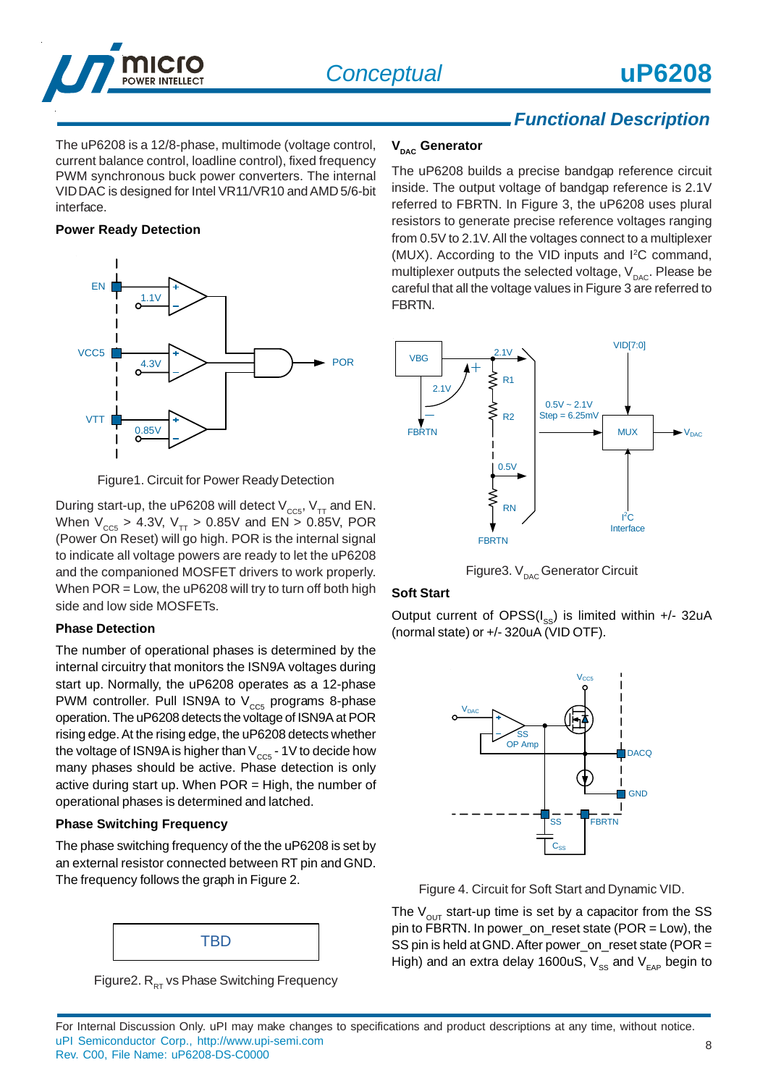

The uP6208 is a 12/8-phase, multimode (voltage control, current balance control, loadline control), fixed frequency PWM synchronous buck power converters. The internal VID DAC is designed for Intel VR11/VR10 and AMD 5/6-bit interface.

### **Power Ready Detection**



Figure1. Circuit for Power Ready Detection

During start-up, the uP6208 will detect  $V_{\text{ccs}}$ ,  $V_{TT}$  and EN. When  $V_{CC5}$  > 4.3V,  $V_{TT}$  > 0.85V and EN > 0.85V, POR (Power On Reset) will go high. POR is the internal signal to indicate all voltage powers are ready to let the uP6208 and the companioned MOSFET drivers to work properly. When POR = Low, the uP6208 will try to turn off both high side and low side MOSFETs.

### **Phase Detection**

The number of operational phases is determined by the internal circuitry that monitors the ISN9A voltages during start up. Normally, the uP6208 operates as a 12-phase PWM controller. Pull ISN9A to  $V_{cc5}$  programs 8-phase operation. The uP6208 detects the voltage of ISN9A at POR rising edge. At the rising edge, the uP6208 detects whether the voltage of ISN9A is higher than  $V_{\text{ccs}}$  - 1V to decide how many phases should be active. Phase detection is only active during start up. When  $POR = High$ , the number of operational phases is determined and latched.

## **Phase Switching Frequency**

The phase switching frequency of the the uP6208 is set by an external resistor connected between RT pin and GND. The frequency follows the graph in Figure 2.



Figure2.  $R_{RT}$  vs Phase Switching Frequency

### **V<sub>DAC</sub>** Generator

The uP6208 builds a precise bandgap reference circuit inside. The output voltage of bandgap reference is 2.1V referred to FBRTN. In Figure 3, the uP6208 uses plural resistors to generate precise reference voltages ranging from 0.5V to 2.1V. All the voltages connect to a multiplexer (MUX). According to the VID inputs and <sup>2</sup>C command, multiplexer outputs the selected voltage,  $V_{_{\text{DAC}}}$ . Please be careful that all the voltage values in Figure 3 are referred to FBRTN.



Figure3.  $V_{\text{p}_{\text{AC}}}$  Generator Circuit

## **Soft Start**

Output current of OPSS( $I_{SS}$ ) is limited within +/- 32uA (normal state) or +/- 320uA (VID OTF).



Figure 4. Circuit for Soft Start and Dynamic VID.

The  $V_{\text{OUT}}$  start-up time is set by a capacitor from the SS pin to FBRTN. In power\_on\_reset state (POR = Low), the SS pin is held at GND. After power\_on\_reset state (POR = High) and an extra delay 1600uS,  $V_{\rm SS}$  and  $V_{\rm EAP}$  begin to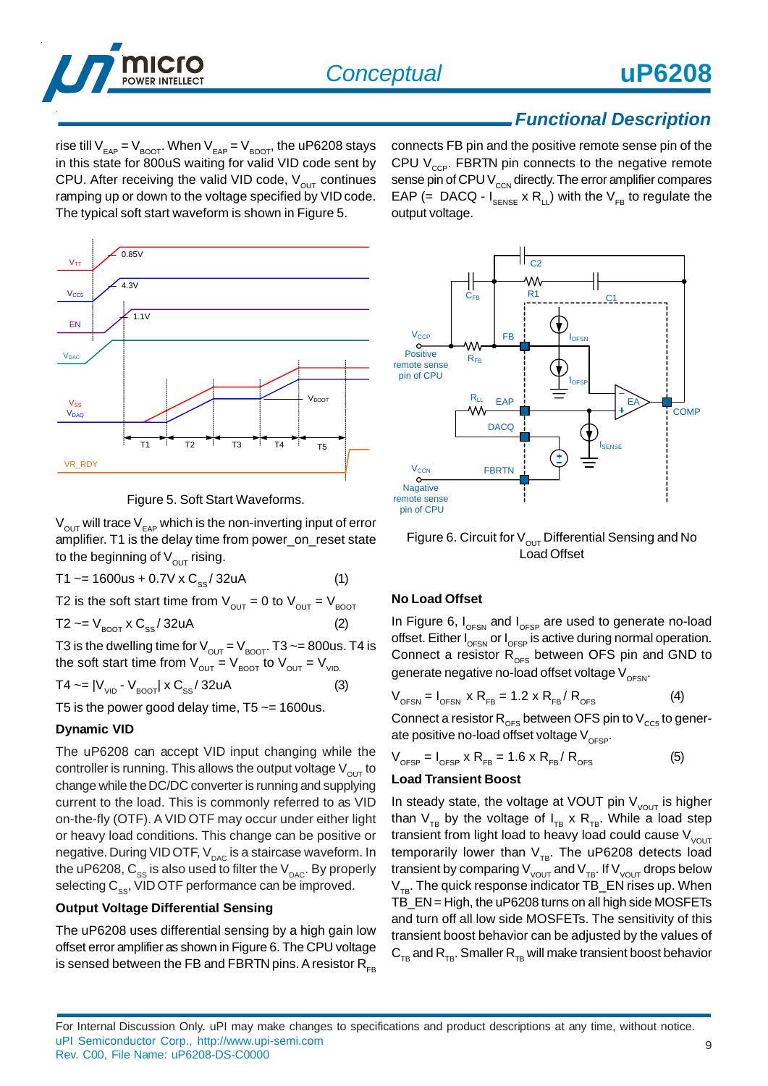

rise till  $V_{EAP} = V_{B O O T}$ . When  $V_{EAP} = V_{B O O T}$ , the uP6208 stays in this state for 800uS waiting for valid VID code sent by CPU. After receiving the valid VID code,  $V_{\text{OUT}}$  continues ramping up or down to the voltage specified by VID code. The typical soft start waveform is shown in Figure 5.

 $V_{TT}$  $0.85V$  $V_{CC5}$  $4.3V$ EN  $1.1V$  $V<sub>DAC</sub>$ T1 <sup>i</sup> T2 <sup>i</sup> T3 <sup>i</sup> T4 <sup>i</sup> T5  $V<sub>SS</sub>$  $V_{\text{DAO}}$ VR\_RDY V<sub>BOOT</sub>

Figure 5. Soft Start Waveforms.

 $V_{\text{OUT}}$  will trace  $V_{\text{EAP}}$  which is the non-inverting input of error amplifier. T1 is the delay time from power\_on\_reset state to the beginning of  $V_{\text{out}}$  rising.

$$
T1 \sim = 1600us + 0.7V \times C_{ss} / 32uA
$$
 (1)

T2 is the soft start time from  $V_{\text{out}} = 0$  to  $V_{\text{out}} = V_{\text{foot}}$ 

T2  $\sim$  =  $V_{\text{ROT}}$  x  $C_{\text{ss}}$  / 32uA

T3 is the dwelling time for  $V_{OUT} = V_{BOOT}$ . T3  $\sim$  = 800us. T4 is the soft start time from  $V_{\text{OUT}} = V_{\text{ROT}}$  to  $V_{\text{OUT}} = V_{\text{VID}}$ 

$$
T4 \sim = |V_{\text{VID}} \cdot V_{\text{BOOT}}| \times C_{\text{SS}} / 32 \text{uA}
$$
 (3)

T5 is the power good delay time,  $T5 \approx 1600$ us.

### **Dynamic VID**

The uP6208 can accept VID input changing while the controller is running. This allows the output voltage  $V_{\text{out}}$  to change while the DC/DC converter is running and supplying current to the load. This is commonly referred to as VID on-the-fly (OTF). A VID OTF may occur under either light or heavy load conditions. This change can be positive or negative. During VID OTF, V<sub>DAC</sub> is a staircase waveform. In the uP6208,  $C_{ss}$  is also used to filter the  $V_{_{DAC}}$ . By properly selecting  $C_{ss}$ , VID OTF performance can be improved.

## **Output Voltage Differential Sensing**

The uP6208 uses differential sensing by a high gain low offset error amplifier as shown in Figure 6. The CPU voltage is sensed between the FB and FBRTN pins. A resistor  $R_{FB}$  connects FB pin and the positive remote sense pin of the CPU  $V_{\text{cor}}$ . FBRTN pin connects to the negative remote sense pin of CPU  $V_{\text{ccN}}$  directly. The error amplifier compares EAP (= DACQ -  $I_{\text{SENSE}} \times R_{LL}$ ) with the  $V_{FB}$  to regulate the output voltage.



Figure 6. Circuit for  $V_{OUT}$  Differential Sensing and No Load Offset

### **No Load Offset**

In Figure 6,  $I_{\text{OFSN}}$  and  $I_{\text{OFSP}}$  are used to generate no-load offset. Either  $I_{\text{OFSN}}$  or  $I_{\text{OFSP}}$  is active during normal operation. Connect a resistor  $R_{OES}$  between OFS pin and GND to generate negative no-load offset voltage  $V_{\text{OESN}}$ .

$$
V_{\text{OFSN}} = I_{\text{OFSN}} \times R_{\text{FB}} = 1.2 \times R_{\text{FB}} / R_{\text{OFS}} \tag{4}
$$

Connect a resistor  $R_{\text{OFS}}$  between OFS pin to  $V_{\text{CC5}}$  to generate positive no-load offset voltage  $V_{\text{OESP}}$ .

$$
V_{\text{OFSP}} = I_{\text{OFSP}} \times R_{\text{FB}} = 1.6 \times R_{\text{FB}} / R_{\text{OFS}}
$$
 (5)

### **Load Transient Boost**

In steady state, the voltage at VOUT pin  $V_{VOUT}$  is higher than  $V_{TB}$  by the voltage of  $I_{TB} \times R_{TB}$ . While a load step transient from light load to heavy load could cause  $V_{VOUT}$ temporarily lower than  $V_{TR}$ . The uP6208 detects load transient by comparing  $V_{\text{vOUT}}$  and  $V_{\text{TB}}$ . If  $V_{\text{vOUT}}$  drops below  $V_{TB}$ . The quick response indicator TB\_EN rises up. When TB\_EN = High, the uP6208 turns on all high side MOSFETs and turn off all low side MOSFETs. The sensitivity of this transient boost behavior can be adjusted by the values of  $C_{TR}$  and  $R_{TR}$ . Smaller  $R_{TR}$  will make transient boost behavior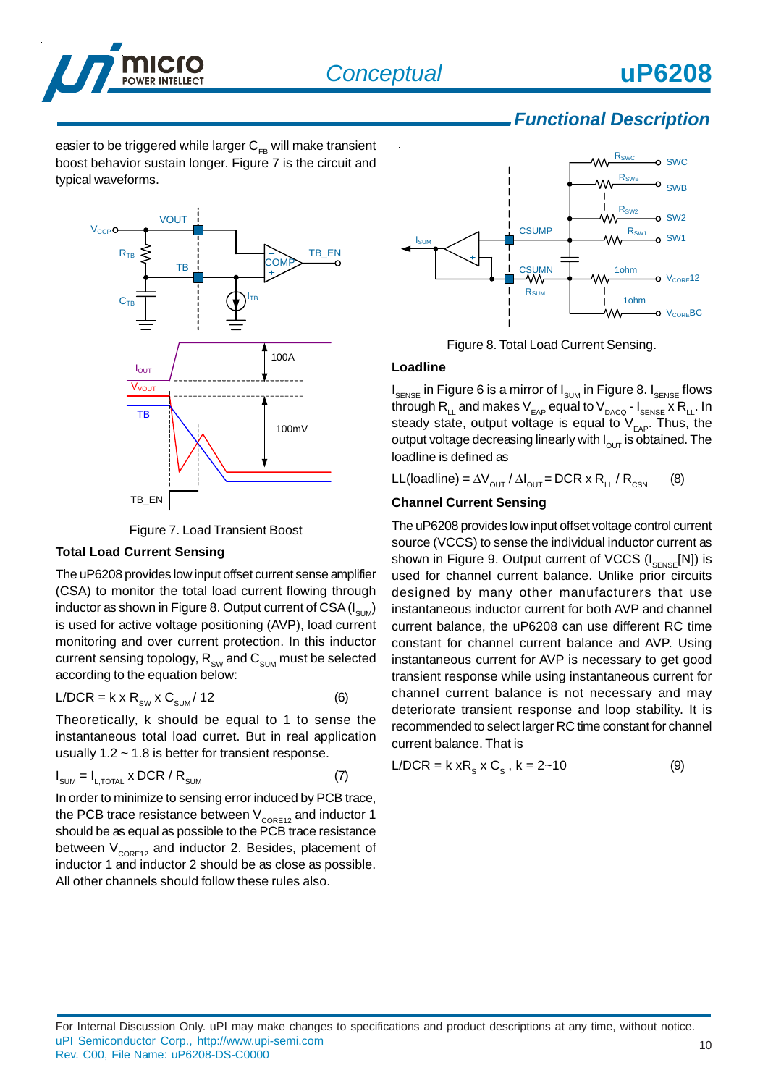

easier to be triggered while larger  $C_{FB}$  will make transient boost behavior sustain longer. Figure 7 is the circuit and typical waveforms.





## **Total Load Current Sensing**

The uP6208 provides low input offset current sense amplifier (CSA) to monitor the total load current flowing through inductor as shown in Figure 8. Output current of CSA  $(I_{\text{sum}})$ is used for active voltage positioning (AVP), load current monitoring and over current protection. In this inductor current sensing topology,  $R_{\text{SW}}$  and  $C_{\text{SUM}}$  must be selected according to the equation below:

$$
L/DCR = k \times R_{\text{sw}} \times C_{\text{sum}} / 12
$$
 (6)

Theoretically, k should be equal to 1 to sense the instantaneous total load curret. But in real application usually  $1.2 \sim 1.8$  is better for transient response.

$$
I_{\text{SUM}} = I_{\text{L,TOTAL}} \times \text{DCR} / R_{\text{SUM}} \tag{7}
$$

In order to minimize to sensing error induced by PCB trace, the PCB trace resistance between  $\bm{\mathsf{V}}_{\texttt{CORE12}}$  and inductor 1 should be as equal as possible to the PCB trace resistance between  $V_{\text{CORE12}}$  and inductor 2. Besides, placement of inductor 1 and inductor 2 should be as close as possible. All other channels should follow these rules also.



Figure 8. Total Load Current Sensing.

### **Loadline**

 $\bm{{\mathsf{I}}}_{\mathsf{SENSE}}$  in Figure 6 is a mirror of  $\bm{{\mathsf{I}}}_{\mathsf{SUM}}$  in Figure 8.  $\bm{{\mathsf{I}}}_{\mathsf{SENSE}}$  flows through R<sub>LL</sub> and makes V<sub>EAP</sub> equal to V<sub>DACQ</sub> - I<sub>SENSE</sub> x R<sub>LL</sub>. In steady state, output voltage is equal to  $V_{EAP}$ . Thus, the output voltage decreasing linearly with  $I_{\text{out}}$  is obtained. The loadline is defined as

LL(loadline) =  $\Delta V_{\text{OUT}} / \Delta I_{\text{OUT}}$  = DCR x R<sub>LL</sub> / R<sub>CSN</sub> (8)

## **Channel Current Sensing**

The uP6208 provides low input offset voltage control current source (VCCS) to sense the individual inductor current as shown in Figure 9. Output current of VCCS  $(I_{\text{SENSE}}[N])$  is used for channel current balance. Unlike prior circuits designed by many other manufacturers that use instantaneous inductor current for both AVP and channel current balance, the uP6208 can use different RC time constant for channel current balance and AVP. Using instantaneous current for AVP is necessary to get good transient response while using instantaneous current for channel current balance is not necessary and may deteriorate transient response and loop stability. It is recommended to select larger RC time constant for channel current balance. That is

$$
L/DCR = k xR_s x C_s, k = 2-10
$$
 (9)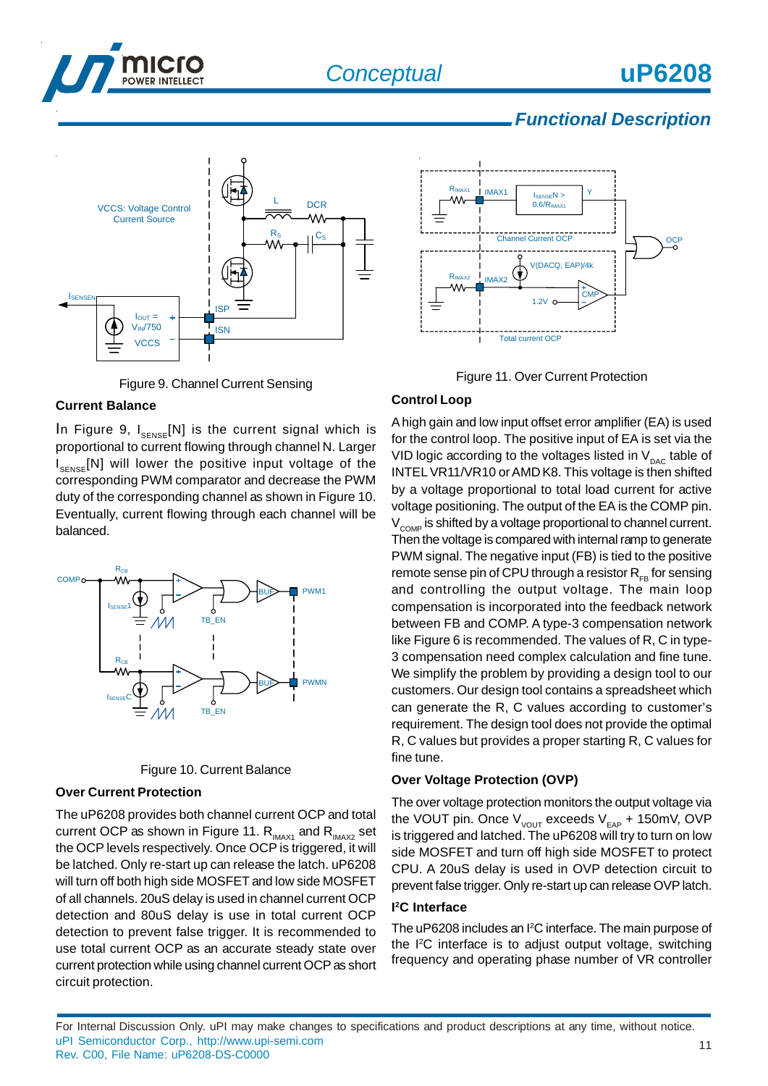



Figure 9. Channel Current Sensing

## **Current Balance**

In Figure 9,  $I_{SENSE}[N]$  is the current signal which is proportional to current flowing through channel N. Larger I<sub>SENSE</sub>[N] will lower the positive input voltage of the corresponding PWM comparator and decrease the PWM duty of the corresponding channel as shown in Figure 10. Eventually, current flowing through each channel will be balanced.





### **Over Current Protection**

The uP6208 provides both channel current OCP and total current OCP as shown in Figure 11.  $R_{\text{MAX1}}$  and  $R_{\text{MAX2}}$  set the OCP levels respectively. Once OCP is triggered, it will be latched. Only re-start up can release the latch. uP6208 will turn off both high side MOSFET and low side MOSFET of all channels. 20uS delay is used in channel current OCP detection and 80uS delay is use in total current OCP detection to prevent false trigger. It is recommended to use total current OCP as an accurate steady state over current protection while using channel current OCP as short circuit protection.





## **Control Loop**

A high gain and low input offset error amplifier (EA) is used for the control loop. The positive input of EA is set via the VID logic according to the voltages listed in  $V_{\text{pAC}}$  table of INTEL VR11/VR10 or AMD K8. This voltage is then shifted by a voltage proportional to total load current for active voltage positioning. The output of the EA is the COMP pin.  $V<sub>COMP</sub>$  is shifted by a voltage proportional to channel current. Then the voltage is compared with internal ramp to generate PWM signal. The negative input (FB) is tied to the positive remote sense pin of CPU through a resistor  $R_{FB}$  for sensing and controlling the output voltage. The main loop compensation is incorporated into the feedback network between FB and COMP. A type-3 compensation network like Figure 6 is recommended. The values of R, C in type-3 compensation need complex calculation and fine tune. We simplify the problem by providing a design tool to our customers. Our design tool contains a spreadsheet which can generate the R, C values according to customer's requirement. The design tool does not provide the optimal R, C values but provides a proper starting R, C values for fine tune.

## **Over Voltage Protection (OVP)**

The over voltage protection monitors the output voltage via the VOUT pin. Once  $V_{VOUT}$  exceeds  $V_{EAP}$  + 150mV, OVP is triggered and latched. The uP6208 will try to turn on low side MOSFET and turn off high side MOSFET to protect CPU. A 20uS delay is used in OVP detection circuit to prevent false trigger. Only re-start up can release OVP latch.

## **I 2C Interface**

The uP6208 includes an I<sup>2</sup>C interface. The main purpose of the I2C interface is to adjust output voltage, switching frequency and operating phase number of VR controller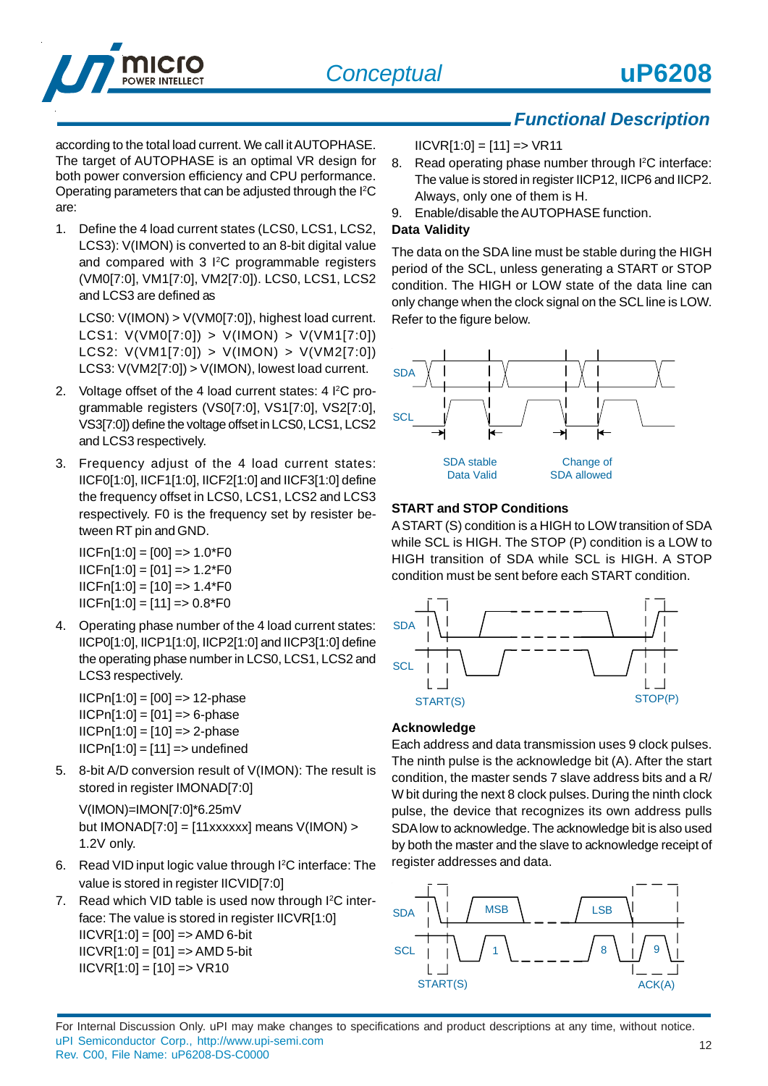

according to the total load current. We call it AUTOPHASE. The target of AUTOPHASE is an optimal VR design for both power conversion efficiency and CPU performance. Operating parameters that can be adjusted through the I<sup>2</sup>C are:

1. Define the 4 load current states (LCS0, LCS1, LCS2, LCS3): V(IMON) is converted to an 8-bit digital value and compared with 3 I<sup>2</sup>C programmable registers (VM0[7:0], VM1[7:0], VM2[7:0]). LCS0, LCS1, LCS2 and LCS3 are defined as

LCS0: V(IMON) > V(VM0[7:0]), highest load current. LCS1: V(VM0[7:0]) > V(IMON) > V(VM1[7:0]) LCS2: V(VM1[7:0]) > V(IMON) > V(VM2[7:0]) LCS3: V(VM2[7:0]) > V(IMON), lowest load current.

- 2. Voltage offset of the 4 load current states: 4 <sup>12</sup>C programmable registers (VS0[7:0], VS1[7:0], VS2[7:0], VS3[7:0]) define the voltage offset in LCS0, LCS1, LCS2 and LCS3 respectively.
- 3. Frequency adjust of the 4 load current states: IICF0[1:0], IICF1[1:0], IICF2[1:0] and IICF3[1:0] define the frequency offset in LCS0, LCS1, LCS2 and LCS3 respectively. F0 is the frequency set by resister between RT pin and GND.

 $IICFn[1:0] = [00] = > 1.0*F0$  $IICFn[1:0] = [01] == 1.2*FO$  $IICFn[1:0] = [10] = 1.4*F0$  $IICFn[1:0] = [11] = 0.8*F0$ 

4. Operating phase number of the 4 load current states: IICP0[1:0], IICP1[1:0], IICP2[1:0] and IICP3[1:0] define the operating phase number in LCS0, LCS1, LCS2 and LCS3 respectively.

 $IICPn[1:0] = [00] => 12$ -phase  $IICPn[1:0] = [01] = 6$ -phase  $IICPn[1:0] = [10] => 2$ -phase  $IICPn[1:0] = [11] \Rightarrow$  undefined

5. 8-bit A/D conversion result of V(IMON): The result is stored in register IMONAD[7:0]

V(IMON)=IMON[7:0]\*6.25mV but  $IMONAD[7:0] = [11xxxxx]$  means  $V(IMON) >$ 1.2V only.

- 6. Read VID input logic value through I<sup>2</sup>C interface: The value is stored in register IICVID[7:0]
- 7. Read which VID table is used now through I<sup>2</sup>C interface: The value is stored in register IICVR[1:0]  $IICVR[1:0] = [00] => AMD 6-bit$  $IICVR[1:0] = [01] \Rightarrow AMD 5-bit$  $IICVR[1:0] = [10] => VR10$

 $IICVR[1:0] = [11] \implies VR11$ 

- 8. Read operating phase number through I<sup>2</sup>C interface: The value is stored in register IICP12, IICP6 and IICP2. Always, only one of them is H.
- 9. Enable/disable the AUTOPHASE function.

## **Data Validity**

The data on the SDA line must be stable during the HIGH period of the SCL, unless generating a START or STOP condition. The HIGH or LOW state of the data line can only change when the clock signal on the SCL line is LOW. Refer to the figure below.



## **START and STOP Conditions**

A START (S) condition is a HIGH to LOW transition of SDA while SCL is HIGH. The STOP (P) condition is a LOW to HIGH transition of SDA while SCL is HIGH. A STOP condition must be sent before each START condition.



## **Acknowledge**

Each address and data transmission uses 9 clock pulses. The ninth pulse is the acknowledge bit (A). After the start condition, the master sends 7 slave address bits and a R/ W bit during the next 8 clock pulses. During the ninth clock pulse, the device that recognizes its own address pulls SDA low to acknowledge. The acknowledge bit is also used by both the master and the slave to acknowledge receipt of register addresses and data.



12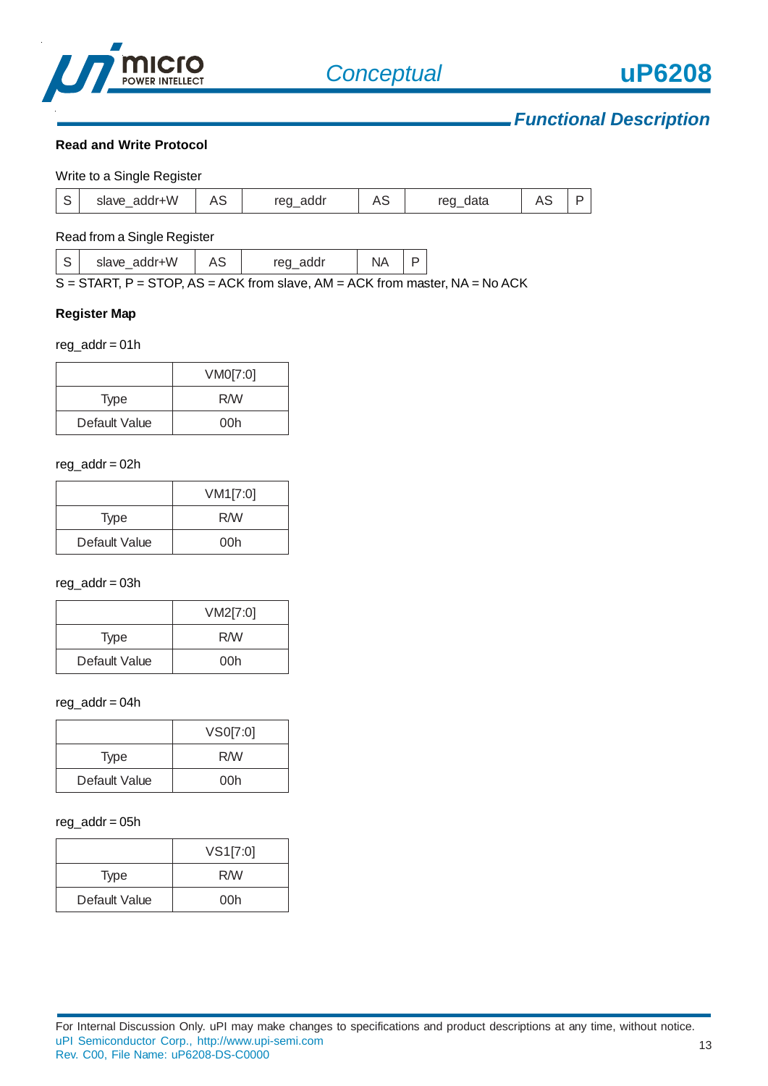

#### **Read and Write Protocol**

|        | Write to a Single Register |    |          |    |             |  |
|--------|----------------------------|----|----------|----|-------------|--|
| $\sim$ | slave addr+W               | AJ | reg_addr | AS | data<br>reg |  |

#### Read from a Single Register

|--|

S = START, P = STOP, AS = ACK from slave, AM = ACK from master, NA = No ACK

#### **Register Map**

#### $reg\_addr = 01h$

|               | VM0[7:0] |
|---------------|----------|
| Type          | R/W      |
| Default Value | 00h      |

#### reg\_addr = 02h

|               | VM1[7:0] |
|---------------|----------|
| <b>Type</b>   | R/W      |
| Default Value | 00h      |

#### reg\_addr = 03h

|               | VM2[7:0] |  |
|---------------|----------|--|
| <b>Type</b>   | R/W      |  |
| Default Value | 00h      |  |

#### reg\_addr = 04h

|               | VS0[7:0] |
|---------------|----------|
| <b>Type</b>   | R/W      |
| Default Value | 00h      |

#### $reg\_addr = 05h$

|               | VS1[7:0] |
|---------------|----------|
| <b>Type</b>   | R/W      |
| Default Value | 00h      |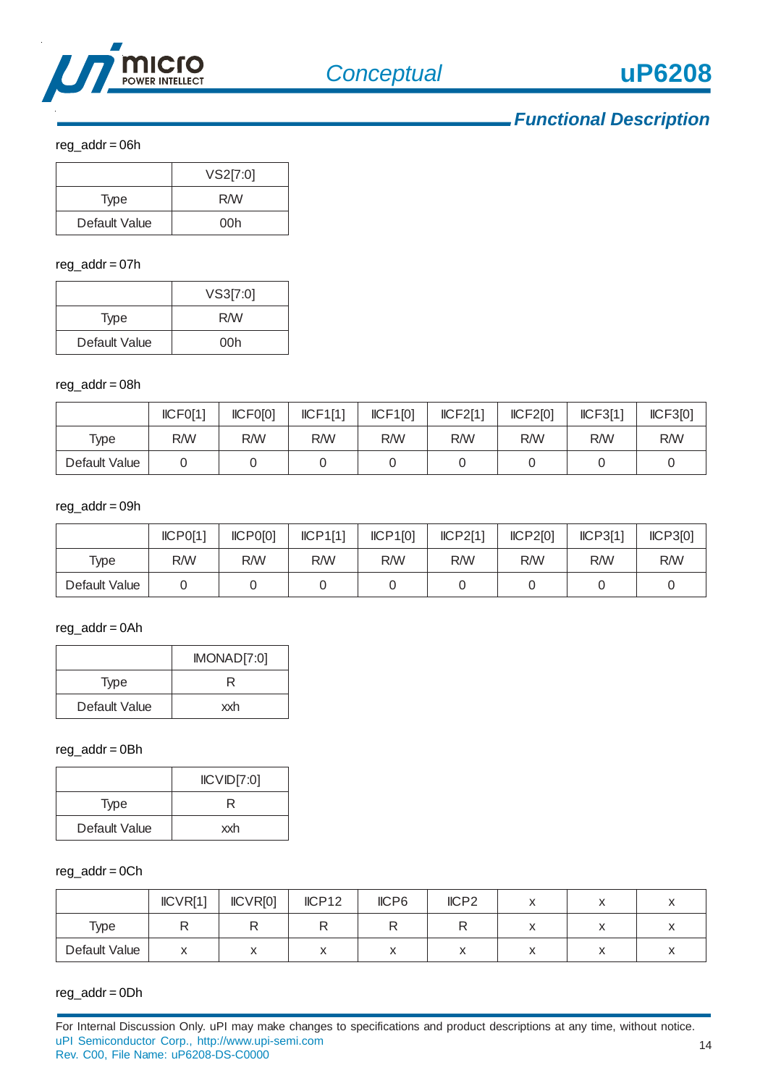

reg\_addr = 06h

|               | VS2[7:0] |
|---------------|----------|
| <b>Type</b>   | R/W      |
| Default Value | 00h      |

### reg\_addr = 07h

|               | VS3[7:0] |
|---------------|----------|
| <b>Type</b>   | R/W      |
| Default Value | 00h      |

#### reg\_addr = 08h

|               | ICFO[1] | ICFO[0] | ICF1[1] | ICF1[0] | ICF2[1]<br>ICF2[0]<br>ICF3[1] |     | ICF3[0] |     |
|---------------|---------|---------|---------|---------|-------------------------------|-----|---------|-----|
| Type          | R/W     | R/W     | R/W     | R/W     | R/W                           | R/W | R/W     | R/W |
| Default Value |         |         |         |         |                               |     |         |     |

#### reg\_addr = 09h

|               | ICPO[1] | ICPO[0] | ICP1[1] | ICP1[0] | ICP2[1] | ICP2[0] | ICP3[1] | ICP3[0] |
|---------------|---------|---------|---------|---------|---------|---------|---------|---------|
| Type          | R/W     | R/W     | R/W     | R/W     | R/W     | R/W     | R/W     | R/W     |
| Default Value |         |         |         |         |         |         |         |         |

### $reg\_addr = 0$ Ah

|               | IMONAD[7:0] |
|---------------|-------------|
| <b>Type</b>   |             |
| Default Value | xxh         |

#### reg\_addr = 0Bh

|               | ICVID[7:0] |
|---------------|------------|
| <b>Type</b>   | R          |
| Default Value | xxh        |

### $reg\_addr = 0Ch$

|               | ICVR[1] | ICVR[0] | IICP12 | IICP6<br>IICP <sub>2</sub> |  |  |  |  |
|---------------|---------|---------|--------|----------------------------|--|--|--|--|
| Type          |         |         |        |                            |  |  |  |  |
| Default Value |         |         |        |                            |  |  |  |  |

### reg\_addr = 0Dh

For Internal Discussion Only. uPI may make changes to specifications and product descriptions at any time, without notice. uPI Semiconductor Corp., http://www.upi-semi.com Rev. C00, File Name: uP6208-DS-C0000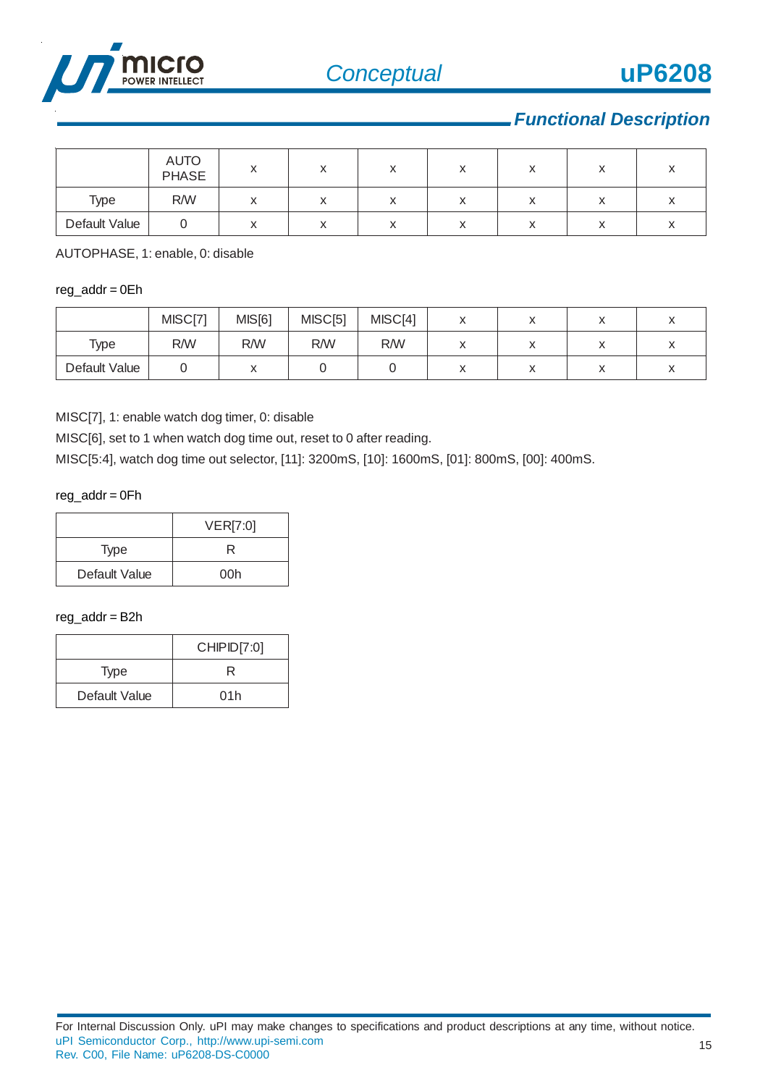

|               | AUTO<br>PHASE |  |           |                                      |           |   |  |
|---------------|---------------|--|-----------|--------------------------------------|-----------|---|--|
| Type          | R/W           |  | $\lambda$ | $\overline{\mathbf{v}}$<br>$\lambda$ | $\lambda$ | ◠ |  |
| Default Value |               |  |           | $\lambda$                            |           |   |  |

AUTOPHASE, 1: enable, 0: disable

#### $reg\_addr = 0Eh$

|               | MISC[71 | MIS[6]    | MISC[5] | MISC[4]<br>$\lambda$<br>" |           |  |  |
|---------------|---------|-----------|---------|---------------------------|-----------|--|--|
| Type          | R/W     | R/W       | R/W     | R/W                       |           |  |  |
| Default Value |         | $\lambda$ |         |                           | $\lambda$ |  |  |

MISC[7], 1: enable watch dog timer, 0: disable

MISC[6], set to 1 when watch dog time out, reset to 0 after reading.

MISC[5:4], watch dog time out selector, [11]: 3200mS, [10]: 1600mS, [01]: 800mS, [00]: 400mS.

reg\_addr = 0Fh

|               | VER[7:0] |
|---------------|----------|
| Type          |          |
| Default Value | 00h      |

## reg\_addr = B2h

|               | CHIPID[7:0] |
|---------------|-------------|
| <b>Type</b>   | R           |
| Default Value | 01h         |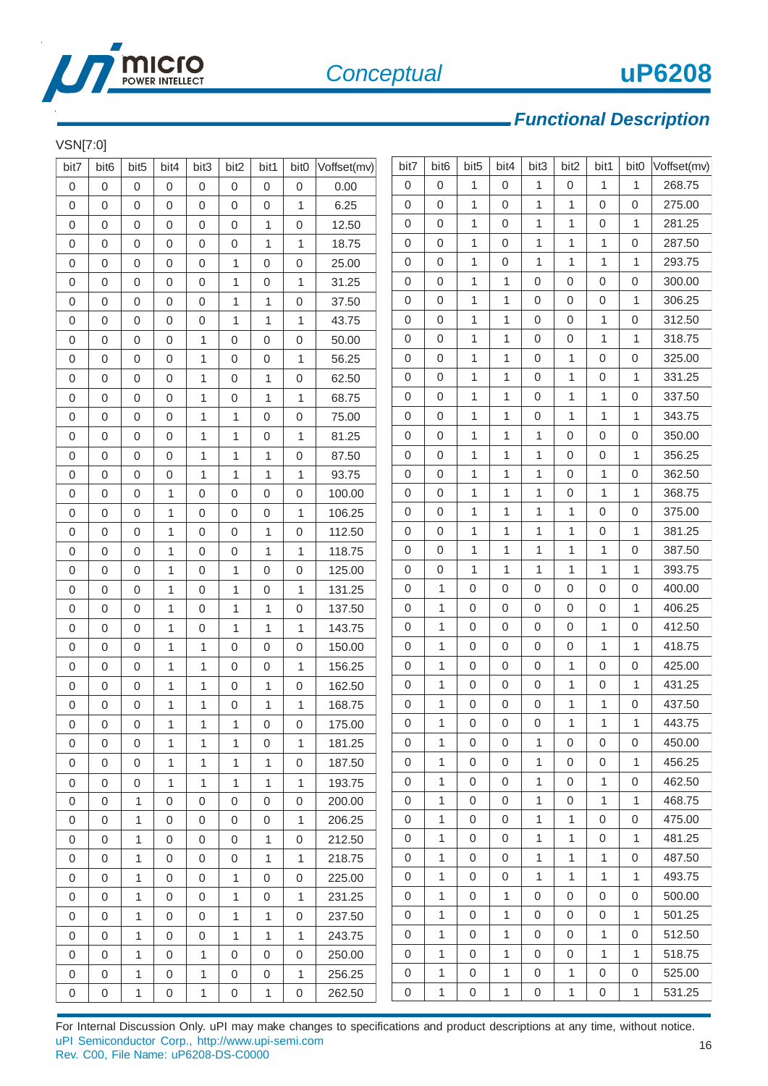

## $V$ CNIT7:01

| VSN[7:0]         |                  |                  |                     |                  |                  |              |                  |             |                  |                  |                  |                  |                  |                  |                  |              |             |
|------------------|------------------|------------------|---------------------|------------------|------------------|--------------|------------------|-------------|------------------|------------------|------------------|------------------|------------------|------------------|------------------|--------------|-------------|
| bit7             | bit <sub>6</sub> | bit <sub>5</sub> | bit4                | bit3             | bit2             | bit1         | bit <sub>0</sub> | Voffset(mv) | bit7             | bit <sub>6</sub> | bit <sub>5</sub> | bit4             | bit3             | bit2             | bit1             | bit0         | Voffset(mv) |
| $\mathbf 0$      | $\mathbf 0$      | $\mathbf 0$      | $\mathbf 0$         | $\boldsymbol{0}$ | $\mathbf 0$      | $\mathbf 0$  | $\mathbf 0$      | 0.00        | $\mathbf 0$      | 0                | $\mathbf{1}$     | $\mathbf 0$      | $\mathbf{1}$     | $\boldsymbol{0}$ | 1                | 1            | 268.75      |
| $\mathbf 0$      | $\mathbf 0$      | 0                | $\overline{0}$      | 0                | $\mathbf 0$      | $\mathbf 0$  | $\mathbf{1}$     | 6.25        | 0                | 0                | 1                | $\Omega$         | $\mathbf{1}$     | $\mathbf{1}$     | 0                | 0            | 275.00      |
| 0                | $\mathbf{0}$     | 0                | 0                   | 0                | $\boldsymbol{0}$ | 1            | 0                | 12.50       | 0                | 0                | 1                | 0                | 1                | 1                | 0                | 1            | 281.25      |
| $\mathbf 0$      | $\mathbf{0}$     | $\mathbf 0$      | 0                   | 0                | $\mathbf 0$      | 1            | 1                | 18.75       | 0                | 0                | 1                | $\mathbf 0$      | 1                | $\mathbf{1}$     | $\mathbf{1}$     | $\mathbf 0$  | 287.50      |
| 0                | $\mathbf{0}$     | $\mathbf 0$      | 0                   | $\boldsymbol{0}$ | $\mathbf{1}$     | $\mathbf 0$  | 0                | 25.00       | 0                | 0                | 1                | $\mathbf 0$      | 1                | 1                | 1                | 1            | 293.75      |
| 0                | $\mathbf 0$      | 0                | $\overline{0}$      | 0                | $\mathbf{1}$     | $\mathbf 0$  | 1                | 31.25       | 0                | 0                | $\mathbf{1}$     | $\mathbf{1}$     | $\mathbf 0$      | $\mathbf 0$      | 0                | $\mathbf 0$  | 300.00      |
| 0                | $\mathbf{0}$     | $\mathbf 0$      | 0                   | 0                | $\mathbf{1}$     | 1            | 0                | 37.50       | 0                | 0                | 1                | $\mathbf{1}$     | $\mathbf 0$      | $\boldsymbol{0}$ | 0                | 1            | 306.25      |
| 0                | $\mathbf 0$      | 0                | 0                   | 0                | $\mathbf{1}$     | $\mathbf{1}$ | $\mathbf{1}$     | 43.75       | 0                | 0                | $\mathbf{1}$     | $\mathbf{1}$     | $\mathbf 0$      | $\boldsymbol{0}$ | $\mathbf{1}$     | $\mathbf 0$  | 312.50      |
| 0                | $\mathbf{0}$     | $\mathbf 0$      | 0                   | $\mathbf{1}$     | 0                | $\mathbf 0$  | 0                | 50.00       | 0                | 0                | 1                | 1                | 0                | 0                | $\mathbf{1}$     | 1            | 318.75      |
| 0                | $\mathbf 0$      | 0                | $\mathbf 0$         | 1                | 0                | $\mathbf 0$  | $\mathbf{1}$     | 56.25       | 0                | 0                | 1                | $\mathbf{1}$     | $\mathbf 0$      | 1                | 0                | 0            | 325.00      |
| 0                | 0                | 0                | 0                   | 1                | 0                | 1            | 0                | 62.50       | 0                | 0                | 1                | 1                | 0                | 1                | 0                | 1            | 331.25      |
| 0                | $\mathbf 0$      | 0                | $\mathbf 0$         | 1                | 0                | $\mathbf{1}$ | 1                | 68.75       | 0                | 0                | 1                | $\mathbf{1}$     | $\mathbf 0$      | $\mathbf{1}$     | $\mathbf{1}$     | 0            | 337.50      |
| 0                | 0                | 0                | 0                   | 1                | $\mathbf{1}$     | $\mathbf 0$  | 0                | 75.00       | 0                | 0                | 1                | $\mathbf{1}$     | 0                | $\mathbf{1}$     | $\mathbf{1}$     | 1            | 343.75      |
| 0                | $\mathbf 0$      | 0                | $\overline{0}$      | 1                | $\mathbf{1}$     | $\mathbf 0$  | 1                | 81.25       | 0                | 0                | $\mathbf{1}$     | $\mathbf{1}$     | $\mathbf{1}$     | $\boldsymbol{0}$ | 0                | 0            | 350.00      |
| 0                | $\mathbf{0}$     | $\mathbf 0$      | 0                   | 1                | $\mathbf{1}$     | 1            | 0                | 87.50       | 0                | 0                | 1                | 1                | 1                | $\boldsymbol{0}$ | 0                | 1            | 356.25      |
| 0                | $\mathbf 0$      | 0                | 0                   | 1                | $\mathbf{1}$     | $\mathbf{1}$ | $\mathbf{1}$     | 93.75       | 0                | 0                | 1                | 1                | 1                | 0                | $\mathbf{1}$     | 0            | 362.50      |
| 0                | 0                | 0                | 1                   | 0                | 0                | 0            | 0                | 100.00      | 0                | 0                | 1                | $\mathbf{1}$     | 1                | 0                | $\mathbf{1}$     | 1            | 368.75      |
| 0                | 0                | 0                | $\mathbf{1}$        | 0                | 0                | $\mathbf 0$  | 1                | 106.25      | $\boldsymbol{0}$ | 0                | 1                | $\mathbf{1}$     | 1                | 1                | 0                | $\mathbf 0$  | 375.00      |
| 0                | 0                | 0                | 1                   | 0                | 0                | 1            | 0                | 112.50      | 0                | 0                | 1                | $\mathbf{1}$     | 1                | $\mathbf{1}$     | 0                | 1            | 381.25      |
| 0                | $\mathbf{0}$     | $\mathbf 0$      | 1                   | 0                | $\boldsymbol{0}$ | 1            | 1                | 118.75      | $\boldsymbol{0}$ | 0                | 1                | 1                | 1                | $\mathbf{1}$     | $\mathbf{1}$     | 0            | 387.50      |
| 0                | 0                | 0                | $\mathbf{1}$        | 0                | 1                | $\mathbf 0$  | 0                | 125.00      | 0                | 0                | $\mathbf{1}$     | $\mathbf{1}$     | $\mathbf{1}$     | $\mathbf{1}$     | 1                | $\mathbf{1}$ | 393.75      |
| 0                | $\mathbf{0}$     | $\mathbf 0$      | 1                   | 0                | $\mathbf{1}$     | $\mathbf 0$  | 1                | 131.25      | $\mathbf 0$      | 1                | $\mathbf 0$      | $\mathbf 0$      | $\mathsf 0$      | $\mathsf 0$      | $\mathsf 0$      | 0            | 400.00      |
| 0                | $\mathbf{0}$     | $\mathbf 0$      | 1                   | 0                | $\mathbf{1}$     | 1            | 0                | 137.50      | 0                | 1                | 0                | $\mathbf 0$      | $\mathbf 0$      | $\mathsf 0$      | 0                | 1            | 406.25      |
| 0                | $\mathbf{0}$     | $\mathbf 0$      | 1                   | 0                | $\mathbf{1}$     | 1            | 1                | 143.75      | $\boldsymbol{0}$ | 1                | $\mathbf 0$      | $\mathbf{0}$     | $\mathsf 0$      | $\mathsf 0$      | $\mathbf{1}$     | $\mathbf 0$  | 412.50      |
| 0                | $\mathbf{0}$     | 0                | 1                   | $\mathbf{1}$     | 0                | $\mathbf 0$  | 0                | 150.00      | 0                | 1                | 0                | $\mathbf 0$      | $\mathbf 0$      | 0                | $\mathbf{1}$     | 1            | 418.75      |
| 0                | $\mathbf 0$      | $\mathbf 0$      | $\mathbf{1}$        | $\mathbf{1}$     | 0                | $\mathbf 0$  | 1                | 156.25      | $\boldsymbol{0}$ | 1                | 0                | $\mathbf 0$      | 0                | 1                | 0                | 0            | 425.00      |
| 0                | $\mathbf 0$      | 0                | $\mathbf{1}$        | 1                | 0                | 1            | 0                | 162.50      | 0                | 1                | 0                | $\mathbf 0$      | $\mathbf 0$      | 1                | 0                | 1            | 431.25      |
| $\boldsymbol{0}$ | $\mathbf 0$      | 0                | 1                   | $\mathbf 1$      | 0                | 1            | 1                | 168.75      | 0                | 1                | 0                | $\boldsymbol{0}$ | $\mathsf 0$      | 1                | 1                | 0            | 437.50      |
| $\mathsf 0$      | $\mathsf 0$      | 0                | $\mathbf{1}$        | 1                | $\mathbf{1}$     | $\mathsf 0$  | $\mathsf 0$      | 175.00      | 0                | 1                | $\mbox{O}$       | $\mathbf 0$      | $\mathsf 0$      | 1                | 1                | $\mathbf{1}$ | 443.75      |
| 0                | $\mathbf 0$      | $\mathbf 0$      | $\mathbf{1}$        | 1                | $\mathbf{1}$     | 0            | 1                | 181.25      | 0                | 1                | 0                | 0                | $\mathbf{1}$     | 0                | 0                | 0            | 450.00      |
| $\mathbf 0$      | $\mathbf 0$      | $\mathbf 0$      | 1                   | 1                | $\mathbf{1}$     | 1            | $\mathbf 0$      | 187.50      | 0                | 1                | $\mathbf 0$      | $\mathbf 0$      | $\mathbf{1}$     | $\mathbf 0$      | $\boldsymbol{0}$ | 1            | 456.25      |
| $\mathbf 0$      | $\mathbf 0$      | $\mathbf 0$      | $\mathbf{1}$        | $\mathbf{1}$     | $\mathbf{1}$     | $\mathbf{1}$ | 1                | 193.75      | 0                | 1                | $\mathbf 0$      | $\mathbf{0}$     | $\mathbf{1}$     | $\mathbf 0$      | $\mathbf{1}$     | 0            | 462.50      |
| 0                | $\mathbf 0$      | 1                | $\mathbf 0$         | $\mathbf 0$      | $\mathbf 0$      | $\mathbf 0$  | $\mathbf 0$      | 200.00      | 0                | 1                | $\mathbf{0}$     | $\mathbf{0}$     | $\mathbf{1}$     | $\mathbf 0$      | $\mathbf{1}$     | 1            | 468.75      |
| 0                | $\boldsymbol{0}$ | 1                | $\mathbf 0$         | 0                | 0                | $\mathbf 0$  | 1                | 206.25      | 0                | $\mathbf{1}$     | 0                | 0                | 1                | 1                | 0                | 0            | 475.00      |
| $\boldsymbol{0}$ | $\mathbf 0$      | 1                | $\mathbf 0$         | 0                | $\mathbf 0$      | $\mathbf{1}$ | $\mathbf 0$      | 212.50      | 0                | $\mathbf{1}$     | $\Omega$         | $\mathbf 0$      | $\mathbf{1}$     | 1                | $\mathbf 0$      | 1            | 481.25      |
| $\boldsymbol{0}$ | $\mathbf 0$      | 1                | $\mathbf 0$         | $\boldsymbol{0}$ | $\mathbf 0$      | $\mathbf{1}$ | 1                | 218.75      | 0                | $\mathbf{1}$     | $\mathbf 0$      | $\mathbf{0}$     | $\mathbf{1}$     | 1                | $\mathbf{1}$     | 0            | 487.50      |
| $\mathbf 0$      | $\mathbf 0$      | $\mathbf{1}$     | $\mathbf 0$         | $\boldsymbol{0}$ | $\mathbf{1}$     | $\mathbf 0$  | $\Omega$         | 225.00      | 0                | $\mathbf{1}$     | $\mathbf{0}$     | $\mathbf{0}$     | $\mathbf{1}$     | $\mathbf{1}$     | $\mathbf{1}$     | $\mathbf{1}$ | 493.75      |
| 0                | $\mathbf 0$      | 1                | 0                   | 0                | $\mathbf{1}$     | $\mathbf 0$  | 1                | 231.25      | 0                | $\mathbf{1}$     | 0                | $\mathbf{1}$     | $\mathbf{0}$     | 0                | $\mathbf 0$      | 0            | 500.00      |
| 0                | $\mathbf 0$      | $\mathbf{1}$     | $\mathbf 0$         | $\boldsymbol{0}$ | $\mathbf{1}$     | $\mathbf{1}$ | $\mathbf 0$      | 237.50      | 0                | 1                | $\mathbf{0}$     | 1                | $\mathbf{0}$     | $\mathbf 0$      | $\mathbf 0$      | $\mathbf{1}$ | 501.25      |
| 0                | $\mathbf{0}$     | 1                | 0                   | 0                | $\mathbf{1}$     | 1            | 1                | 243.75      | 0                | $\mathbf{1}$     | 0                | $\mathbf{1}$     | $\mathbf{0}$     | 0                | $\mathbf{1}$     | 0            | 512.50      |
| 0                | $\mathbf 0$      | $\mathbf{1}$     | $\mathbf 0$         | $\mathbf{1}$     | $\mathbf 0$      | $\mathbf 0$  | $\mathbf 0$      | 250.00      | 0                | $\mathbf{1}$     | $\mathbf{0}$     | 1                | $\mathbf{0}$     | $\boldsymbol{0}$ | $\mathbf{1}$     | 1            | 518.75      |
| 0                | $\boldsymbol{0}$ | 1                | 0                   | 1                | 0                | 0            | 1                | 256.25      | 0                | 1                | $\mathbf 0$      | 1                | $\mathbf{0}$     | 1                | 0                | 0            | 525.00      |
| 0                | $\boldsymbol{0}$ | 1                | $\mathsf{O}\xspace$ | 1                | $\mathsf 0$      | $\mathbf{1}$ | $\mathbf 0$      | 262.50      | $\mathbf 0$      | 1                | $\mathbf 0$      | $\mathbf{1}$     | $\boldsymbol{0}$ | 1                | 0                | $\mathbf{1}$ | 531.25      |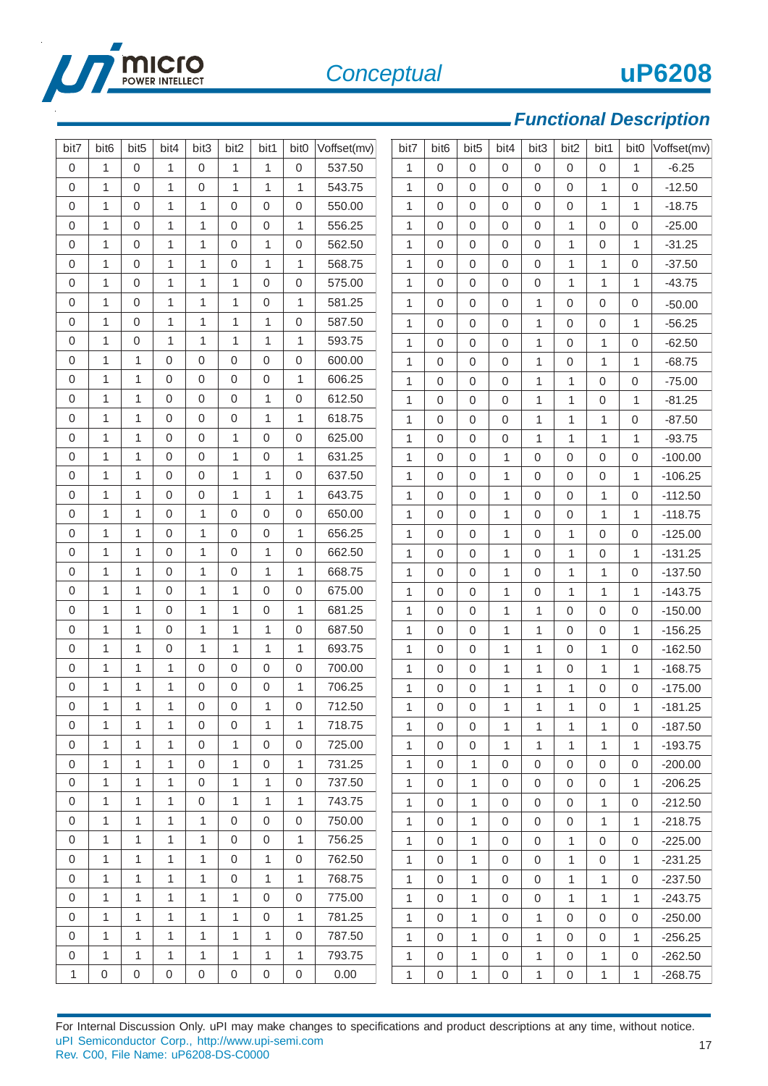

17

# *Functional Description*

| bit7             | bit <sub>6</sub> | bit <sub>5</sub> | bit4         | bit3             | bit2             | bit1             | bit <sub>0</sub> | Voffset(mv) | bit7         | bit <sub>6</sub> | bit <sub>5</sub> | bit4           | bit3         | bit2             | bit1             | bit <sub>0</sub> | Voffset(mv) |
|------------------|------------------|------------------|--------------|------------------|------------------|------------------|------------------|-------------|--------------|------------------|------------------|----------------|--------------|------------------|------------------|------------------|-------------|
| $\boldsymbol{0}$ | $\mathbf{1}$     | $\mathbf 0$      | $\mathbf{1}$ | $\mathbf 0$      | $\mathbf{1}$     | $\mathbf{1}$     | $\mathbf 0$      | 537.50      | $\mathbf{1}$ | $\mathbf 0$      | $\overline{0}$   | $\Omega$       | $\mathbf 0$  | $\mathbf 0$      | 0                | $\mathbf{1}$     | $-6.25$     |
| $\boldsymbol{0}$ | $\mathbf{1}$     | 0                | $\mathbf{1}$ | $\mathbf 0$      | $\mathbf{1}$     | $\mathbf{1}$     | 1                | 543.75      | $\mathbf{1}$ | 0                | 0                | 0              | 0            | $\mathbf 0$      | 1                | 0                | $-12.50$    |
| $\boldsymbol{0}$ | $\mathbf{1}$     | $\Omega$         | $\mathbf{1}$ | $\mathbf{1}$     | 0                | 0                | $\mathbf 0$      | 550.00      | $\mathbf{1}$ | $\mathbf 0$      | $\Omega$         | $\overline{0}$ | $\Omega$     | $\mathbf 0$      | $\mathbf{1}$     | 1                | $-18.75$    |
| 0                | 1                | $\mathbf 0$      | $\mathbf{1}$ | $\mathbf{1}$     | 0                | 0                | 1                | 556.25      | 1            | 0                | 0                | 0              | 0            | $\mathbf{1}$     | 0                | $\boldsymbol{0}$ | $-25.00$    |
| $\boldsymbol{0}$ | $\mathbf{1}$     | $\mathbf 0$      | $\mathbf{1}$ | $\mathbf{1}$     | 0                | $\mathbf{1}$     | $\mathbf 0$      | 562.50      | $\mathbf{1}$ | 0                | 0                | 0              | $\mathbf 0$  | $\mathbf{1}$     | 0                | $\mathbf{1}$     | $-31.25$    |
| 0                | $\mathbf{1}$     | 0                | $\mathbf{1}$ | 1                | 0                | 1                | 1                | 568.75      | 1            | 0                | 0                | 0              | 0            | 1                | $\mathbf 1$      | 0                | $-37.50$    |
| 0                | $\mathbf{1}$     | $\mathbf 0$      | $\mathbf{1}$ | 1                | 1                | 0                | $\mathbf 0$      | 575.00      | 1            | $\mathbf 0$      | 0                | 0              | $\mathbf 0$  | 1                | 1                | 1                | $-43.75$    |
| 0                | 1                | $\mathbf 0$      | $\mathbf{1}$ | 1                | 1                | 0                | 1                | 581.25      | 1            | 0                | 0                | 0              | 1            | 0                | 0                | $\boldsymbol{0}$ | $-50.00$    |
| 0                | $\mathbf{1}$     | $\mathbf 0$      | $\mathbf{1}$ | 1                | 1                | 1                | $\mathbf 0$      | 587.50      | $\mathbf{1}$ | $\mathbf 0$      | $\mathbf 0$      | 0              | $\mathbf{1}$ | 0                | 0                | 1                | $-56.25$    |
| 0                | 1                | 0                | $\mathbf{1}$ | 1                | 1                | 1                | 1                | 593.75      | $\mathbf{1}$ | $\mathbf 0$      | 0                | 0              | $\mathbf{1}$ | 0                | 1                | 0                | $-62.50$    |
| 0                | $\mathbf{1}$     | 1                | 0            | $\mathbf 0$      | 0                | 0                | $\boldsymbol{0}$ | 600.00      | $\mathbf{1}$ | $\mathbf 0$      | $\overline{0}$   | 0              | $\mathbf{1}$ | $\mathbf 0$      | $\mathbf{1}$     | 1                | $-68.75$    |
| 0                | 1                | 1                | 0            | $\mathbf 0$      | 0                | 0                | 1                | 606.25      | $\mathbf{1}$ | 0                | $\mathbf 0$      | 0              | $\mathbf{1}$ | 1                | 0                | $\boldsymbol{0}$ | $-75.00$    |
| 0                | $\mathbf{1}$     | 1                | $\mathbf 0$  | $\mathbf 0$      | $\mathsf 0$      | 1                | $\boldsymbol{0}$ | 612.50      | $\mathbf{1}$ | $\mathbf 0$      | $\overline{0}$   | 0              | $\mathbf{1}$ | 1                | 0                | $\mathbf{1}$     | $-81.25$    |
| 0                | 1                | 1                | 0            | $\mathbf 0$      | 0                | 1                | 1                | 618.75      | $\mathbf{1}$ | 0                | $\mathbf 0$      | 0              | 1            | $\mathbf{1}$     | 1                | $\boldsymbol{0}$ | $-87.50$    |
| 0                | $\mathbf{1}$     | 1                | $\mathbf 0$  | $\mathbf 0$      | 1                | 0                | $\mathbf 0$      | 625.00      | $\mathbf{1}$ | $\mathbf 0$      | $\Omega$         | 0              | $\mathbf{1}$ | $\mathbf{1}$     | $\mathbf{1}$     | $\mathbf{1}$     | $-93.75$    |
| 0                | 1                | 1                | 0            | $\boldsymbol{0}$ | 1                | 0                | 1                | 631.25      | 1            | 0                | $\mathbf 0$      | 1              | $\mathbf 0$  | 0                | 0                | $\boldsymbol{0}$ | $-100.00$   |
| $\boldsymbol{0}$ | $\mathbf{1}$     | 1                | $\mathbf 0$  | $\boldsymbol{0}$ | $\mathbf{1}$     | 1                | $\boldsymbol{0}$ | 637.50      | 1            | $\mathbf 0$      | 0                | 1              | $\mathbf 0$  | $\boldsymbol{0}$ | 0                | 1                | $-106.25$   |
| 0                | $\mathbf{1}$     | 1                | 0            | $\mathbf 0$      | $\mathbf{1}$     | 1                | 1                | 643.75      | 1            | 0                | $\mathbf 0$      | $\mathbf{1}$   | $\Omega$     | $\mathbf 0$      | 1                | 0                | $-112.50$   |
| $\boldsymbol{0}$ | $\mathbf{1}$     | 1                | 0            | $\mathbf{1}$     | 0                | 0                | $\boldsymbol{0}$ | 650.00      | 1            | $\mathbf{0}$     | 0                | $\mathbf{1}$   | $\mathbf 0$  | $\mathbf 0$      | $\mathbf{1}$     | 1                | $-118.75$   |
| 0                | $\mathbf{1}$     | 1                | 0            | $\mathbf{1}$     | 0                | 0                | $\mathbf{1}$     | 656.25      | 1            | 0                | $\mathbf 0$      | 1              | $\mathbf 0$  | 1                | 0                | $\boldsymbol{0}$ | $-125.00$   |
| $\boldsymbol{0}$ | $\mathbf{1}$     | 1                | $\mathbf{0}$ | $\mathbf{1}$     | $\mathbf 0$      | $\mathbf 1$      | $\mathbf 0$      | 662.50      | $\mathbf{1}$ | $\mathbf{0}$     | $\mathbf 0$      | 1              | $\mathbf 0$  | $\mathbf{1}$     | 0                | $\mathbf{1}$     | $-131.25$   |
| $\boldsymbol{0}$ | $\mathbf{1}$     | 1                | 0            | $\mathbf{1}$     | 0                | 1                | $\mathbf{1}$     | 668.75      | 1            | $\overline{0}$   | $\mathbf 0$      | $\mathbf{1}$   | $\Omega$     | 1                | 1                | 0                | $-137.50$   |
| 0                | $\mathbf{1}$     | 1                | $\mathbf{0}$ | $\mathbf{1}$     | 1                | 0                | $\mathbf 0$      | 675.00      | 1            | $\mathbf{0}$     | 0                | $\mathbf{1}$   | $\mathbf 0$  | $\mathbf{1}$     | 1                | $\mathbf{1}$     | $-143.75$   |
| 0                | $\mathbf{1}$     | 1                | 0            | $\mathbf{1}$     | 1                | 0                | $\mathbf{1}$     | 681.25      | 1            | $\mathbf 0$      | $\overline{0}$   | 1              | $\mathbf{1}$ | 0                | 0                | $\mathbf 0$      | $-150.00$   |
| 0                | $\mathbf{1}$     | 1                | $\mathbf 0$  | $\mathbf{1}$     | 1                | 1                | $\boldsymbol{0}$ | 687.50      | $\mathbf{1}$ | $\mathbf{0}$     | $\mathbf 0$      | $\mathbf{1}$   | 1            | $\boldsymbol{0}$ | 0                | $\mathbf{1}$     | $-156.25$   |
| 0                | $\mathbf{1}$     | 1                | 0            | 1                | 1                | 1                | 1                | 693.75      | 1            | $\mathbf 0$      | $\mathbf 0$      | $\mathbf{1}$   | $\mathbf{1}$ | $\mathbf 0$      | 1                | $\boldsymbol{0}$ | $-162.50$   |
| 0                | $\mathbf{1}$     | 1                | $\mathbf{1}$ | $\mathbf 0$      | 0                | 0                | $\boldsymbol{0}$ | 700.00      | 1            | $\mathbf{0}$     | $\mathbf 0$      | $\mathbf{1}$   | $\mathbf{1}$ | 0                | 1                | 1                | $-168.75$   |
| 0                | $\mathbf{1}$     | $\mathbf{1}$     | $\mathbf{1}$ | $\mathbf 0$      | 0                | 0                | 1                | 706.25      | $\mathbf{1}$ | $\mathbf 0$      | $\mathbf 0$      | $\mathbf 1$    | $\mathbf{1}$ | 1                | $\mathsf 0$      | 0                | $-175.00$   |
| $\mathbf 0$      | 1                | 1                | 1            | $\mathbf 0$      | 0                | 1                | $\boldsymbol{0}$ | 712.50      | $\mathbf{1}$ | $\Omega$         | $\,0\,$          | 1              | $\mathbf{1}$ | $\mathbf{1}$     | $\boldsymbol{0}$ | 1                | $-181.25$   |
| $\boldsymbol{0}$ | $\mathbf{1}$     | 1                | $\mathbf{1}$ | $\mathbf 0$      | $\mathbf 0$      | 1                | 1                | 718.75      | $\mathbf{1}$ | $\Omega$         | $\mathbf 0$      | $\mathbf{1}$   | $\mathbf{1}$ | 1                | $\mathbf{1}$     | 0                | $-187.50$   |
| $\boldsymbol{0}$ | $\mathbf{1}$     | 1                | 1            | $\mathbf 0$      | 1                | 0                | $\mathbf 0$      | 725.00      | $\mathbf{1}$ | $\mathbf 0$      | $\mathbf 0$      | $\mathbf{1}$   | $\mathbf{1}$ | 1                | 1                | 1                | $-193.75$   |
| $\boldsymbol{0}$ | $\mathbf{1}$     | 1                | $\mathbf{1}$ | $\mathbf 0$      | $\mathbf{1}$     | 0                | $\mathbf{1}$     | 731.25      | $\mathbf{1}$ | $\mathbf 0$      | $\mathbf{1}$     | $\mathbf 0$    | $\mathbf 0$  | 0                | $\mathsf 0$      | $\mathbf 0$      | $-200.00$   |
| 0                | $\mathbf{1}$     | 1                | 1            | $\mathbf 0$      | 1                | 1                | 0                | 737.50      | $\mathbf{1}$ | $\mathbf 0$      | 1                | $\mathbf 0$    | $\mathbf 0$  | 0                | 0                | 1                | $-206.25$   |
| $\boldsymbol{0}$ | 1                | 1                | 1            | $\mathbf 0$      | 1                | $\mathbf{1}$     | $\mathbf{1}$     | 743.75      | $\mathbf{1}$ | $\mathbf 0$      | 1                | 0              | $\mathbf{0}$ | $\mathbf 0$      | $\mathbf{1}$     | 0                | $-212.50$   |
| 0                | 1                | 1                | 1            | 1                | 0                | 0                | 0                | 750.00      | 1            | $\mathbf 0$      | 1                | 0              | 0            | $\mathbf 0$      | $\mathbf{1}$     | 1                | $-218.75$   |
| $\mathbf 0$      | $\mathbf{1}$     | 1                | $\mathbf{1}$ | $\mathbf{1}$     | $\boldsymbol{0}$ | $\boldsymbol{0}$ | $\mathbf{1}$     | 756.25      | $\mathbf{1}$ | $\mathbf 0$      | $\mathbf{1}$     | 0              | $\mathbf{0}$ | $\mathbf{1}$     | $\mathbf 0$      | $\mathbf 0$      | $-225.00$   |
| 0                | 1                | 1                | 1            | 1                | $\boldsymbol{0}$ | 1                | $\mathbf 0$      | 762.50      | $\mathbf{1}$ | $\mathbf 0$      | 1                | $\mathbf 0$    | $\mathbf 0$  | 1                | 0                | 1                | $-231.25$   |
| $\mathbf 0$      | $\mathbf{1}$     | 1                | 1            | $\mathbf{1}$     | $\boldsymbol{0}$ | $\mathbf{1}$     | $\mathbf{1}$     | 768.75      | $\mathbf{1}$ | $\mathbf 0$      | $\mathbf{1}$     | 0              | $\mathbf{0}$ | $\mathbf{1}$     | $\mathbf{1}$     | 0                | $-237.50$   |
| $\boldsymbol{0}$ | $\mathbf{1}$     | 1                | 1            | 1                | 1                | $\boldsymbol{0}$ | $\mathbf 0$      | 775.00      | 1            | $\mathbf 0$      | 1                | 0              | $\mathbf{0}$ | $\mathbf{1}$     | $\mathbf{1}$     | 1                | $-243.75$   |
| $\mathbf 0$      | 1                | 1                | $\mathbf{1}$ | $\mathbf{1}$     | 1                | $\boldsymbol{0}$ | $\mathbf{1}$     | 781.25      | $\mathbf{1}$ | $\mathbf 0$      | 1                | 0              | $\mathbf{1}$ | $\mathbf 0$      | $\mathbf{0}$     | 0                | $-250.00$   |
| $\boldsymbol{0}$ | 1                | 1                | 1            | 1                | 1                | 1                | 0                | 787.50      | $\mathbf{1}$ | 0                | 1                | 0              | 1            | 0                | 0                | 1                | $-256.25$   |
| $\mathbf 0$      | $\mathbf{1}$     | 1                | 1            | $\mathbf{1}$     | 1                | $\mathbf{1}$     | $\mathbf{1}$     | 793.75      | 1            | $\mathbf 0$      | 1                | 0              | $\mathbf{1}$ | $\mathbf 0$      | 1                | 0                | $-262.50$   |
| $\mathbf{1}$     | $\boldsymbol{0}$ | $\mathsf 0$      | 0            | $\mathsf 0$      | $\,0\,$          | 0                | $\boldsymbol{0}$ | 0.00        | 1            | 0                | 1                | 0              | $\mathbf{1}$ | $\boldsymbol{0}$ | 1                | 1                | $-268.75$   |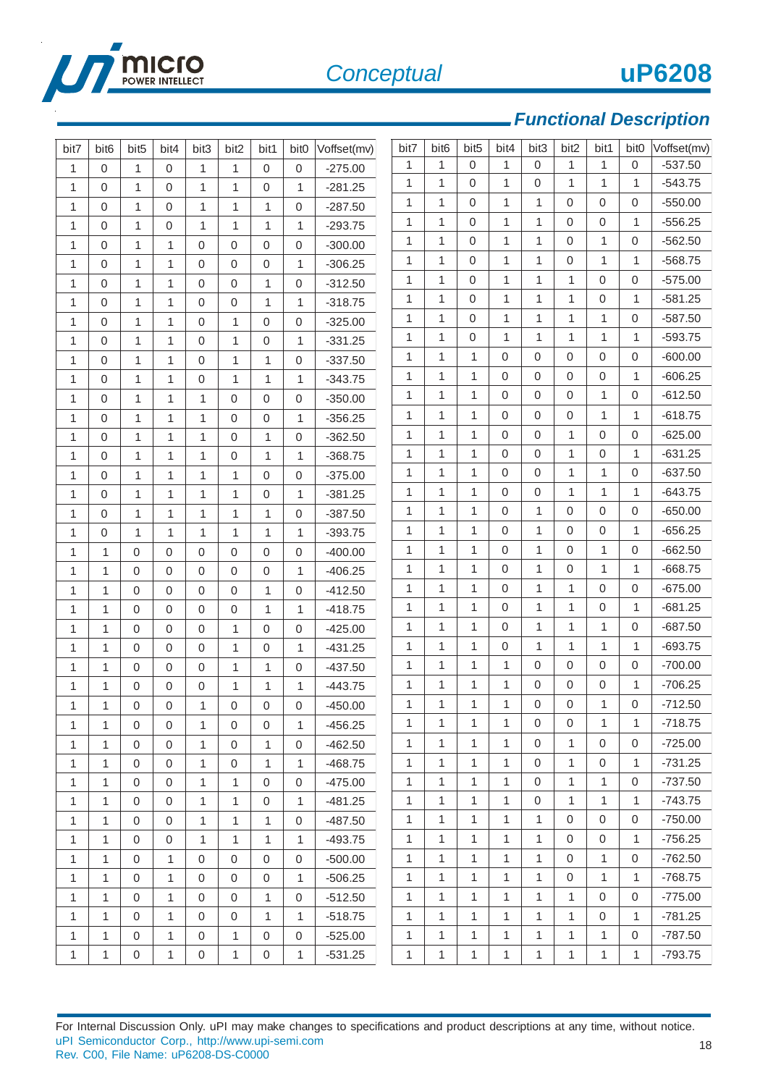

18

# *Functional Description*

| bit7         | bit <sub>6</sub> | bit <sub>5</sub> | bit4         | bit3                | bit2         | bit1             | bit <sub>0</sub> | Voffset(mv) | bit7         | bit <sub>6</sub> | bit <sub>5</sub> | bit4         | bit3         | bit2         | bit1             | bit <sub>0</sub> | Voffset(mv) |
|--------------|------------------|------------------|--------------|---------------------|--------------|------------------|------------------|-------------|--------------|------------------|------------------|--------------|--------------|--------------|------------------|------------------|-------------|
| $\mathbf{1}$ | $\mathbf 0$      | $\mathbf{1}$     | $\mathbf 0$  | $\mathbf{1}$        | $\mathbf{1}$ | 0                | $\mathbf 0$      | $-275.00$   | 1            | 1                | $\mathbf 0$      | 1            | $\mathbf{0}$ | 1            | 1                | $\boldsymbol{0}$ | $-537.50$   |
| $\mathbf{1}$ | 0                | 1                | $\mathbf{0}$ | 1                   | 1            | 0                | 1                | $-281.25$   | $\mathbf{1}$ | 1                | 0                | $\mathbf{1}$ | $\mathbf 0$  | $\mathbf{1}$ | $\mathbf{1}$     | 1                | $-543.75$   |
| 1            | 0                | 1                | 0            | $\mathbf{1}$        | 1            | $\mathbf{1}$     | $\mathbf 0$      | $-287.50$   | $\mathbf{1}$ | 1                | $\Omega$         | $\mathbf{1}$ | 1            | 0            | 0                | $\mathbf 0$      | $-550.00$   |
| $\mathbf{1}$ | 0                | 1                | $\mathbf{0}$ | 1                   | 1            | 1                | 1                | $-293.75$   | $\mathbf{1}$ | 1                | $\Omega$         | $\mathbf{1}$ | $\mathbf{1}$ | $\mathbf 0$  | 0                | 1                | $-556.25$   |
| $\mathbf{1}$ | $\mathbf 0$      | $\mathbf{1}$     | $\mathbf{1}$ | $\mathbf 0$         | $\mathbf 0$  | 0                | $\mathbf 0$      | $-300.00$   | $\mathbf{1}$ | 1                | $\Omega$         | 1            | 1            | 0            | $\mathbf{1}$     | $\mathbf 0$      | $-562.50$   |
| $\mathbf{1}$ | 0                | 1                | 1            | $\mathbf 0$         | 0            | 0                | 1                | $-306.25$   | $\mathbf{1}$ | $\mathbf{1}$     | $\Omega$         | $\mathbf{1}$ | $\mathbf{1}$ | $\mathbf 0$  | $\mathbf{1}$     | $\mathbf{1}$     | $-568.75$   |
| $\mathbf{1}$ | $\mathbf 0$      | 1                | $\mathbf{1}$ | $\mathbf 0$         | $\mathbf 0$  | $\mathbf{1}$     | $\mathbf 0$      | $-312.50$   | $\mathbf{1}$ | 1                | $\Omega$         | $\mathbf{1}$ | $\mathbf{1}$ | 1            | 0                | $\mathbf 0$      | $-575.00$   |
| $\mathbf{1}$ | $\overline{0}$   | 1                | $\mathbf{1}$ | 0                   | 0            | $\mathbf{1}$     | 1                | $-318.75$   | $\mathbf{1}$ | $\mathbf{1}$     | $\Omega$         | $\mathbf{1}$ | $\mathbf{1}$ | $\mathbf{1}$ | 0                | 1                | $-581.25$   |
| $\mathbf{1}$ | $\Omega$         | $\mathbf{1}$     | $\mathbf{1}$ | $\mathbf 0$         | 1            | 0                | $\mathbf 0$      | $-325.00$   | 1            | 1                | $\Omega$         | $\mathbf{1}$ | 1            | 1            | 1                | $\boldsymbol{0}$ | $-587.50$   |
| $\mathbf{1}$ | $\Omega$         | 1                | $\mathbf{1}$ | 0                   | 1            | 0                | 1                | $-331.25$   | $\mathbf{1}$ | $\mathbf{1}$     | $\Omega$         | $\mathbf{1}$ | $\mathbf{1}$ | $\mathbf{1}$ | $\mathbf{1}$     | $\mathbf{1}$     | $-593.75$   |
| 1            | 0                | 1                | $\mathbf{1}$ | $\mathbf 0$         | 1            | $\mathbf{1}$     | $\mathbf 0$      | $-337.50$   | $\mathbf{1}$ | 1                | 1                | 0            | $\mathbf{0}$ | 0            | 0                | $\mathbf 0$      | $-600.00$   |
| 1            | 0                | 1                | $\mathbf{1}$ | $\mathbf 0$         | 1            | $\mathbf{1}$     | 1                | $-343.75$   | $\mathbf{1}$ | $\mathbf{1}$     | 1                | $\Omega$     | $\Omega$     | $\mathbf 0$  | 0                | $\mathbf{1}$     | $-606.25$   |
| $\mathbf{1}$ | $\overline{0}$   | $\mathbf{1}$     | $\mathbf{1}$ | $\mathbf{1}$        | $\mathbf 0$  | 0                | $\mathbf 0$      | $-350.00$   | $\mathbf{1}$ | 1                | 1                | 0            | $\mathbf 0$  | 0            | $\mathbf{1}$     | $\boldsymbol{0}$ | $-612.50$   |
| $\mathbf{1}$ | $\Omega$         | 1                | $\mathbf{1}$ | 1                   | 0            | 0                | 1                | $-356.25$   | $\mathbf{1}$ | $\mathbf{1}$     | $\mathbf{1}$     | $\Omega$     | $\Omega$     | $\mathbf 0$  | $\mathbf{1}$     | $\mathbf{1}$     | $-618.75$   |
| $\mathbf{1}$ | 0                | $\mathbf{1}$     | $\mathbf{1}$ | $\mathbf{1}$        | $\mathbf 0$  | $\mathbf{1}$     | $\mathbf 0$      | $-362.50$   | 1            | 1                | 1                | 0            | $\Omega$     | 1            | 0                | $\mathbf 0$      | $-625.00$   |
| 1            | $\overline{0}$   | 1                | $\mathbf{1}$ | 1                   | 0            | $\mathbf{1}$     | 1                | $-368.75$   | $\mathbf{1}$ | $\mathbf{1}$     | 1                | $\Omega$     | $\Omega$     | $\mathbf{1}$ | 0                | $\mathbf{1}$     | $-631.25$   |
| $\mathbf{1}$ | 0                | 1                | 1            | 1                   | 1            | 0                | $\mathbf 0$      | $-375.00$   | $\mathbf{1}$ | 1                | 1                | $\Omega$     | $\mathbf 0$  | $\mathbf{1}$ | 1                | $\boldsymbol{0}$ | $-637.50$   |
| $\mathbf 1$  | 0                | 1                | $\mathbf{1}$ | $\mathbf{1}$        | $\mathbf{1}$ | 0                | $\mathbf{1}$     | $-381.25$   | $\mathbf{1}$ | $\mathbf{1}$     | 1                | $\Omega$     | $\mathbf 0$  | $\mathbf{1}$ | $\mathbf{1}$     | $\mathbf{1}$     | $-643.75$   |
| $\mathbf{1}$ | 0                | 1                | $\mathbf{1}$ | 1                   | 1            | $\mathbf{1}$     | $\boldsymbol{0}$ | $-387.50$   | 1            | 1                | 1                | $\Omega$     | 1            | 0            | 0                | 0                | $-650.00$   |
| $\mathbf{1}$ | 0                | $\mathbf{1}$     | $\mathbf{1}$ | $\mathbf{1}$        | $\mathbf{1}$ | $\mathbf{1}$     | $\mathbf{1}$     | $-393.75$   | $\mathbf{1}$ | 1                | 1                | $\Omega$     | $\mathbf{1}$ | $\mathbf 0$  | 0                | 1                | $-656.25$   |
| $\mathbf{1}$ | 1                | $\mathbf 0$      | $\mathbf{0}$ | $\mathbf 0$         | 0            | 0                | $\mathbf 0$      | $-400.00$   | 1            | 1                | 1                | 0            | 1            | 0            | 1                | $\boldsymbol{0}$ | $-662.50$   |
| $\mathbf{1}$ | $\mathbf{1}$     | $\mathbf 0$      | $\mathbf{0}$ | $\mathbf 0$         | 0            | 0                | $\mathbf{1}$     | $-406.25$   | $\mathbf{1}$ | 1                | 1                | $\mathbf 0$  | 1            | 0            | 1                | 1                | $-668.75$   |
| 1            | 1                | $\mathbf 0$      | $\mathbf{0}$ | $\mathbf 0$         | $\mathbf 0$  | $\mathbf{1}$     | $\boldsymbol{0}$ | $-412.50$   | 1            | 1                | 1                | $\Omega$     | 1            | 1            | 0                | $\mathbf 0$      | $-675.00$   |
| 1            | 1                | $\mathbf 0$      | $\mathbf{0}$ | $\mathbf 0$         | 0            | $\mathbf{1}$     | 1                | $-418.75$   | 1            | 1                | 1                | $\Omega$     | 1            | 1            | 0                | 1                | $-681.25$   |
| 1            | 1                | $\mathbf 0$      | $\mathbf{0}$ | $\mathbf 0$         | 1            | 0                | $\mathbf 0$      | $-425.00$   | 1            | 1                | 1                | 0            | 1            | 1            | 1                | $\boldsymbol{0}$ | $-687.50$   |
| $\mathbf{1}$ | $\mathbf{1}$     | $\Omega$         | $\mathbf 0$  | $\mathbf 0$         | 1            | 0                | 1                | $-431.25$   | $\mathbf{1}$ | 1                | 1                | $\mathbf 0$  | 1            | 1            | 1                | 1                | $-693.75$   |
| $\mathbf{1}$ | 1                | 0                | $\mathbf 0$  | $\mathbf 0$         | 1            | $\mathbf{1}$     | $\mathbf 0$      | $-437.50$   | 1            | 1                | 1                | 1            | $\mathbf{0}$ | 0            | 0                | $\boldsymbol{0}$ | $-700.00$   |
| $\mathbf{1}$ | 1                | $\mathbf 0$      | 0            | $\mathsf{O}\xspace$ | 1            | $\mathbf{1}$     | 1                | $-443.75$   | $\mathbf{1}$ | 1                | 1                | $\mathbf{1}$ | $\mathbf 0$  | $\mathbf 0$  | 0                | 1                | $-706.25$   |
| 1            | 1                | 0                | 0            | 1                   | 0            | 0                | $\boldsymbol{0}$ | $-450.00$   | $\mathbf{1}$ | 1                | 1                | $\mathbf{1}$ | $\mathbf 0$  | $\mathbf 0$  | 1                | 0                | $-712.50$   |
| 1            | 1                | $\Omega$         | $\mathbf 0$  | 1                   | 0            | 0                | 1                | $-456.25$   | 1            | 1                | $\mathbf{1}$     | 1            | $\mathbf 0$  | $\mathbf 0$  | 1                | 1                | $-718.75$   |
| $\mathbf{1}$ | $\mathbf{1}$     | $\mathbf 0$      | $\mathbf 0$  | 1                   | 0            | $\mathbf{1}$     | $\mathbf 0$      | $-462.50$   | $\mathbf{1}$ | 1                | 1                | $\mathbf{1}$ | $\mathbf 0$  | 1            | $\mathbf 0$      | $\mathbf 0$      | $-725.00$   |
| $\mathbf{1}$ | $\mathbf{1}$     | $\mathbf 0$      | $\mathbf 0$  | $\mathbf{1}$        | 0            | $\mathbf{1}$     | $\mathbf{1}$     | $-468.75$   | $\mathbf{1}$ | $\mathbf{1}$     | 1                | $\mathbf{1}$ | $\mathbf 0$  | 1            | $\mathbf 0$      | $\mathbf{1}$     | $-731.25$   |
| $\mathbf{1}$ | $\mathbf{1}$     | 0                | $\mathbf 0$  | 1                   | $\mathbf{1}$ | $\mathsf 0$      | $\mathbf 0$      | $-475.00$   | $\mathbf{1}$ | 1                | $\mathbf{1}$     | 1            | $\mathbf 0$  | 1            | 1                | $\mathbf 0$      | $-737.50$   |
| $\mathbf{1}$ | $\mathbf{1}$     | $\mathbf 0$      | $\mathbf 0$  | $\mathbf{1}$        | 1            | $\mathsf 0$      | $\mathbf{1}$     | $-481.25$   | $\mathbf{1}$ | $\mathbf{1}$     | $\mathbf{1}$     | $\mathbf{1}$ | $\mathbf 0$  | $\mathbf{1}$ | $\mathbf{1}$     | $\mathbf{1}$     | $-743.75$   |
| 1            | 1                | 0                | $\mathbf{0}$ | 1                   | 1            | $\mathbf{1}$     | $\mathbf 0$      | $-487.50$   | 1            | 1                | 1                | $\mathbf{1}$ | $\mathbf{1}$ | 0            | $\boldsymbol{0}$ | $\mathbf 0$      | $-750.00$   |
| $\mathbf{1}$ | $\mathbf{1}$     | $\mathbf 0$      | $\mathbf 0$  | 1                   | 1            | $\mathbf{1}$     | 1                | $-493.75$   | $\mathbf{1}$ | 1                | 1                | $\mathbf{1}$ | $\mathbf{1}$ | 0            | $\boldsymbol{0}$ | $\mathbf{1}$     | $-756.25$   |
| $\mathbf{1}$ | $\mathbf{1}$     | 0                | $\mathbf{1}$ | $\mathbf 0$         | 0            | 0                | $\mathbf 0$      | $-500.00$   | $\mathbf{1}$ | 1                | 1                | $\mathbf{1}$ | $\mathbf{1}$ | 0            | 1                | $\mathbf 0$      | $-762.50$   |
| $\mathbf{1}$ | $\mathbf{1}$     | $\mathbf 0$      | $\mathbf{1}$ | $\mathbf 0$         | $\mathbf 0$  | $\boldsymbol{0}$ | 1                | $-506.25$   | $\mathbf{1}$ | $\mathbf{1}$     | $\mathbf{1}$     | $\mathbf{1}$ | $\mathbf{1}$ | $\mathbf 0$  | $\mathbf{1}$     | $\mathbf{1}$     | $-768.75$   |
| 1            | 1                | $\mathbf 0$      | $\mathbf{1}$ | 0                   | $\mathbf 0$  | $\mathbf{1}$     | $\mathbf 0$      | $-512.50$   | $\mathbf{1}$ | 1                | 1                | $\mathbf{1}$ | $\mathbf{1}$ | $\mathbf{1}$ | 0                | $\mathbf 0$      | $-775.00$   |
| $\mathbf{1}$ | 1                | $\mathbf 0$      | $\mathbf{1}$ | 0                   | $\mathbf 0$  | $\mathbf{1}$     | 1                | $-518.75$   | $\mathbf{1}$ | 1                | 1                | $\mathbf{1}$ | $\mathbf{1}$ | $\mathbf{1}$ | 0                | $\mathbf{1}$     | $-781.25$   |
| 1            | 1                | 0                | $\mathbf{1}$ | 0                   | 1            | $\mathsf 0$      | $\mathbf 0$      | $-525.00$   | $\mathbf{1}$ | 1                | 1                | 1            | $\mathbf{1}$ | 1            | $\mathbf{1}$     | $\boldsymbol{0}$ | $-787.50$   |
| 1            | $\mathbf{1}$     | $\mathbf 0$      | $\mathbf{1}$ | $\boldsymbol{0}$    | $\mathbf{1}$ | $\boldsymbol{0}$ | $\mathbf{1}$     | $-531.25$   | $\mathbf{1}$ | $\mathbf{1}$     | 1                | $\mathbf{1}$ | $\mathbf{1}$ | 1            | $\mathbf{1}$     | $\mathbf{1}$     | $-793.75$   |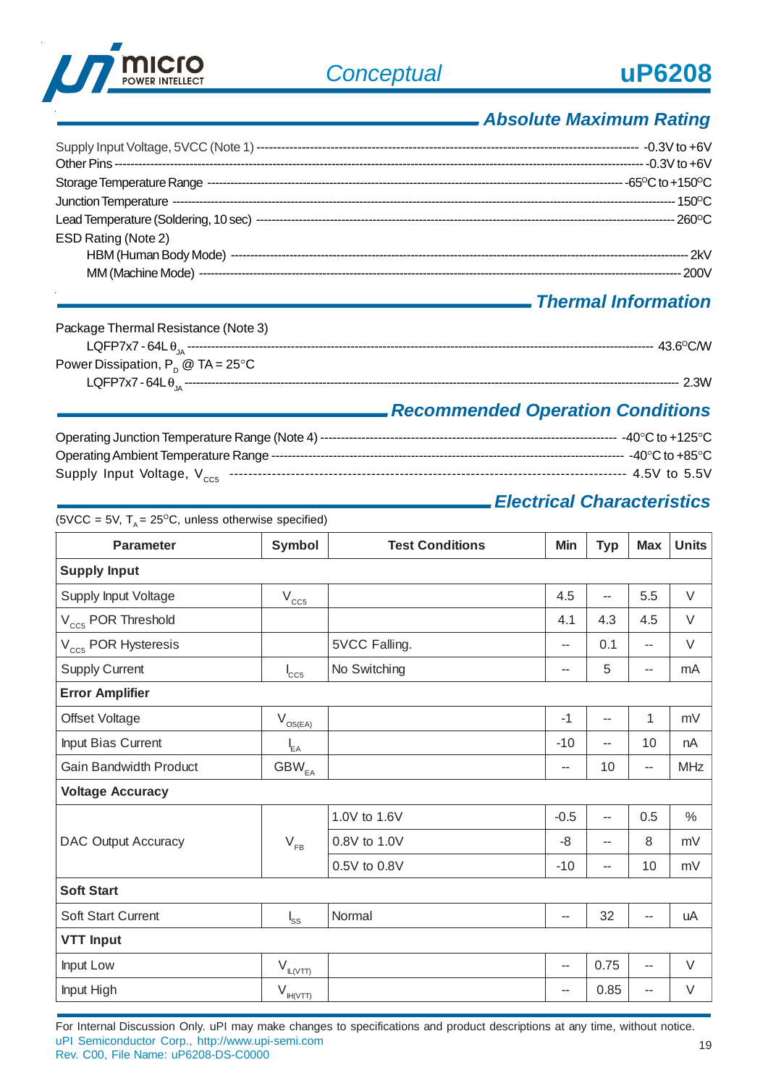

# *Absolute Maximum Rating*

| ESD Rating (Note 2) |  |
|---------------------|--|

## *Thermal Information*

| Package Thermal Resistance (Note 3)               |      |
|---------------------------------------------------|------|
|                                                   |      |
| Power Dissipation, $P_p \otimes TA = 25^{\circ}C$ |      |
|                                                   | 2.3W |

## *Recommended Operation Conditions*

| Supply Input Voltage, $V_{ccs}$ …………………………………………………………………………………………… 4.5V to 5.5V |  |
|----------------------------------------------------------------------------------|--|

## *Electrical Characteristics*

| <b>Parameter</b>                | <b>Symbol</b>                        | <b>Test Conditions</b> | Min                      | <b>Typ</b>               | <b>Max</b>               | <b>Units</b>  |
|---------------------------------|--------------------------------------|------------------------|--------------------------|--------------------------|--------------------------|---------------|
| <b>Supply Input</b>             |                                      |                        |                          |                          |                          |               |
| Supply Input Voltage            | $V_{CC5}$                            |                        | 4.5                      | --                       | 5.5                      | $\vee$        |
| V <sub>cc5</sub> POR Threshold  |                                      |                        | 4.1                      | 4.3                      | 4.5                      | V             |
| V <sub>CC5</sub> POR Hysteresis |                                      | 5VCC Falling.          | $\overline{a}$           | 0.1                      | $\overline{a}$           | V             |
| <b>Supply Current</b>           | $I_{CC5}$                            | No Switching           | $\overline{\phantom{a}}$ | 5                        | $\overline{\phantom{m}}$ | mA            |
| <b>Error Amplifier</b>          |                                      |                        |                          |                          |                          |               |
| Offset Voltage                  | $\rm V_{\rm OS(EA)}$                 |                        | $-1$                     | $\overline{\phantom{a}}$ | 1                        | mV            |
| Input Bias Current              | $I_{EA}$                             |                        | $-10$                    | --                       | 10                       | nA            |
| <b>Gain Bandwidth Product</b>   | $GBW_{EA}$                           |                        | $\overline{\phantom{a}}$ | 10                       | $\overline{a}$           | <b>MHz</b>    |
| <b>Voltage Accuracy</b>         |                                      |                        |                          |                          |                          |               |
|                                 |                                      | 1.0V to 1.6V           | $-0.5$                   | $\overline{\phantom{m}}$ | 0.5                      | $\frac{0}{0}$ |
| <b>DAC Output Accuracy</b>      | $V_{FB}$                             | 0.8V to 1.0V           | $-8$                     | $\overline{a}$           | 8                        | mV            |
|                                 |                                      | 0.5V to 0.8V           | $-10$                    | --                       | 10                       | mV            |
| <b>Soft Start</b>               |                                      |                        |                          |                          |                          |               |
| <b>Soft Start Current</b>       | $I_{\rm SS}$                         | Normal                 | $\overline{\phantom{a}}$ | 32                       | $\overline{\phantom{a}}$ | uA            |
| <b>VTT Input</b>                |                                      |                        |                          |                          |                          |               |
| Input Low                       | $V_{\frac{\frac{1}{2}}{\frac{1}{2}}$ |                        | $\overline{\phantom{a}}$ | 0.75                     | $\overline{\phantom{a}}$ | V             |
| Input High                      | $V_{\frac{\ H(VTT\ )}{\ T\ }}$       |                        | $\overline{\phantom{m}}$ | 0.85                     | --                       | V             |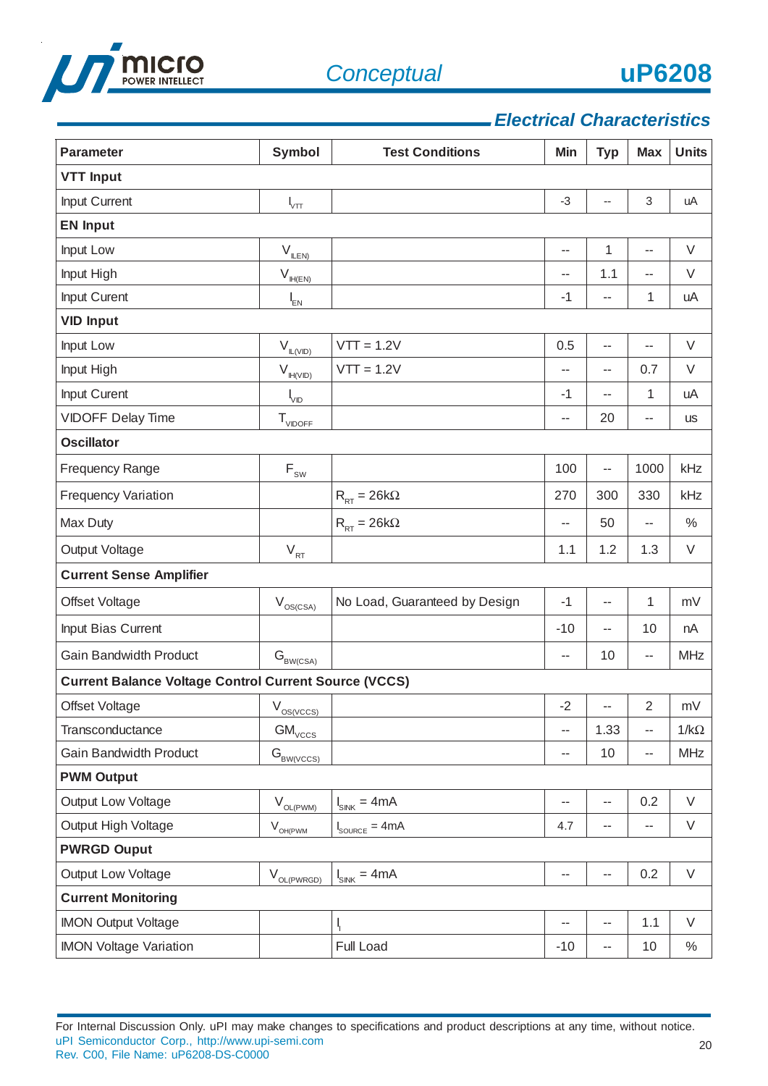



## *Electrical Characteristics*

| <b>Parameter</b>                                             | <b>Symbol</b>                                           | <b>Test Conditions</b>            | Min   | <b>Typ</b>               | <b>Max</b> | <b>Units</b> |
|--------------------------------------------------------------|---------------------------------------------------------|-----------------------------------|-------|--------------------------|------------|--------------|
| <b>VTT Input</b>                                             |                                                         |                                   |       |                          |            |              |
| Input Current                                                | $I_{\vee \pi}$                                          |                                   | $-3$  | --                       | 3          | uA           |
| <b>EN Input</b>                                              |                                                         |                                   |       |                          |            |              |
| Input Low                                                    | $\mathsf{V}_{\mathsf{I\!I\!I\!I\!I\!I}}$                |                                   | --    | 1                        | --         | V            |
| Input High                                                   | $\mathsf{V}_{\mathsf{I\!H\!I\!I\!I\!I\!I}}$             |                                   | --    | 1.1                      | --         | V            |
| Input Curent                                                 | $I_{EN}$                                                |                                   | $-1$  | --                       | 1          | uA           |
| <b>VID Input</b>                                             |                                                         |                                   |       |                          |            |              |
| Input Low                                                    | $V_{\mathbb{L}(\underline{VID})}$                       | $VTT = 1.2V$                      | 0.5   | $\overline{a}$           | --         | V            |
| Input High                                                   | $\mathsf{V}_{\mathbb{H}(\text{VID})}$                   | $VT = 1.2V$                       | --    | --                       | 0.7        | $\vee$       |
| Input Curent                                                 | $\mathsf{l}_{\mathsf{VID}}$                             |                                   | $-1$  | $-$                      | 1          | uA           |
| <b>VIDOFF Delay Time</b>                                     | $T_{VIDOFF}$                                            |                                   | --    | 20                       | --         | <b>US</b>    |
| <b>Oscillator</b>                                            |                                                         |                                   |       |                          |            |              |
| <b>Frequency Range</b>                                       | $\mathsf{F}_{\scriptscriptstyle\mathsf{SW}}$            |                                   | 100   | --                       | 1000       | kHz          |
| <b>Frequency Variation</b>                                   |                                                         | $R_{RT} = 26k\Omega$              | 270   | 300                      | 330        | kHz          |
| Max Duty                                                     |                                                         | $R_{RT} = 26k\Omega$              | --    | 50                       | --         | $\%$         |
| Output Voltage                                               | $V_{RT}$                                                |                                   | 1.1   | 1.2                      | 1.3        | V            |
| <b>Current Sense Amplifier</b>                               |                                                         |                                   |       |                          |            |              |
| Offset Voltage                                               | $V_{OS(CSA)}$                                           | No Load, Guaranteed by Design     | $-1$  | --                       | 1          | mV           |
| Input Bias Current                                           |                                                         |                                   | $-10$ | --                       | 10         | nA           |
| <b>Gain Bandwidth Product</b>                                | $\mathbf{G}_{\textsc{BW}(\textsc{csa})}$                |                                   | --    | 10                       | --         | <b>MHz</b>   |
| <b>Current Balance Voltage Control Current Source (VCCS)</b> |                                                         |                                   |       |                          |            |              |
| Offset Voltage                                               | $V_{OS(VCCS)}$                                          |                                   | $-2$  | $\overline{\phantom{m}}$ | 2          | mV           |
| Transconductance                                             | $GM_{\text{v}\underline{\text{c}\underline{\text{c}}}}$ |                                   | --    | 1.33                     | --         | $1/k\Omega$  |
| <b>Gain Bandwidth Product</b>                                | $G_{BW(VCCS)}$                                          |                                   | --    | 10                       | --         | <b>MHz</b>   |
| <b>PWM Output</b>                                            |                                                         |                                   |       |                          |            |              |
| Output Low Voltage                                           | $V_{OL(PWM)}$                                           | $I_{SINK} = 4mA$                  | --    | $\overline{a}$           | 0.2        | $\vee$       |
| Output High Voltage                                          | $V_{OH(PWM)}$                                           | $I_{\text{SOLRCE}} = 4 \text{mA}$ | 4.7   | $\overline{\phantom{m}}$ | --         | V            |
| <b>PWRGD Ouput</b>                                           |                                                         |                                   |       |                          |            |              |
| Output Low Voltage                                           | $V_{OL(PWRGD)}$                                         | $I_{SINK} = 4mA$                  | --    | --                       | 0.2        | $\vee$       |
| <b>Current Monitoring</b>                                    |                                                         |                                   |       |                          |            |              |
| <b>IMON Output Voltage</b>                                   |                                                         |                                   | --    | $\overline{a}$           | 1.1        | $\vee$       |
| <b>IMON Voltage Variation</b>                                |                                                         | Full Load                         | $-10$ | ۰.                       | 10         | $\%$         |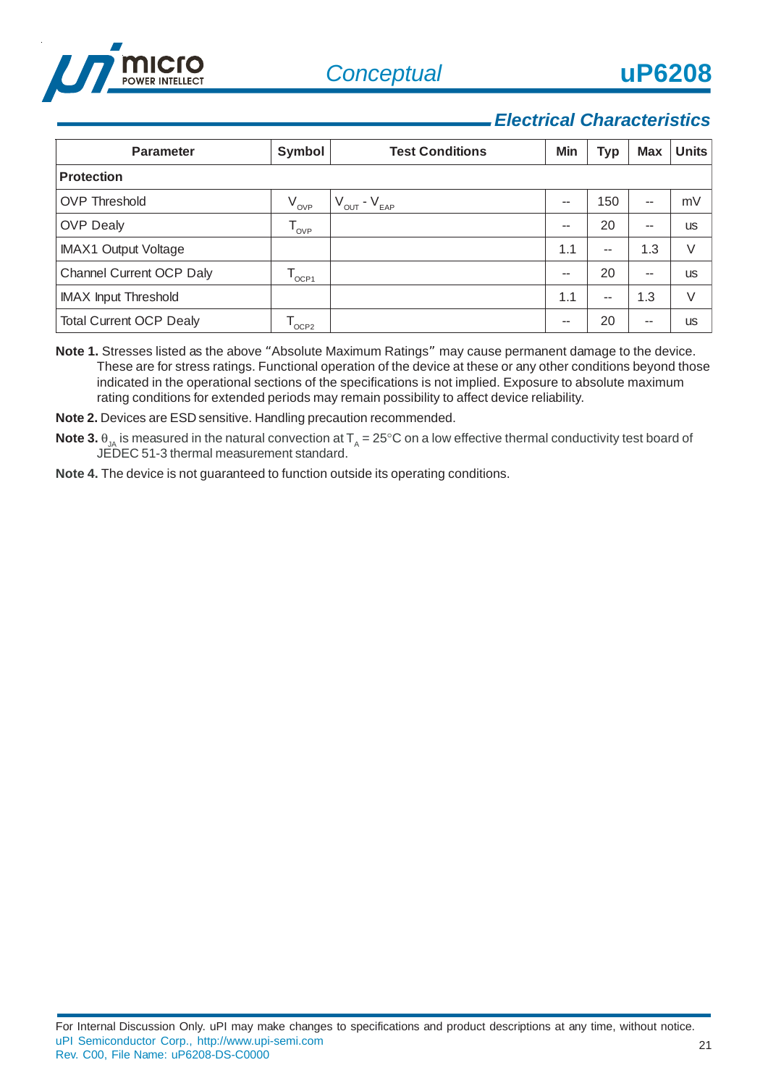



## *Electrical Characteristics*

| <b>Parameter</b>               | Symbol           | <b>Test Conditions</b>              | Min   | <b>Typ</b> | <b>Max</b> | <b>Units</b> |
|--------------------------------|------------------|-------------------------------------|-------|------------|------------|--------------|
| <b>Protection</b>              |                  |                                     |       |            |            |              |
| <b>OVP Threshold</b>           | $V_{_{\rm OVP}}$ | $V_{\text{OUT}}$ - $V_{\text{EAP}}$ | $- -$ | 150        | --         | mV           |
| <b>OVP Dealy</b>               | $T_{_{\rm OVP}}$ |                                     | --    | 20         | --         | <b>US</b>    |
| <b>IMAX1 Output Voltage</b>    |                  |                                     | 1.1   | $-$        | 1.3        | V            |
| Channel Current OCP Daly       | $^{\prime}$ OCP1 |                                     | $- -$ | 20         | $- -$      | <b>US</b>    |
| <b>IMAX Input Threshold</b>    |                  |                                     | 1.1   | $-$        | 1.3        | $\vee$       |
| <b>Total Current OCP Dealy</b> | OCP <sub>2</sub> |                                     | $- -$ | 20         | $- -$      | <b>US</b>    |

**Note 1.** Stresses listed as the above "Absolute Maximum Ratings" may cause permanent damage to the device. These are for stress ratings. Functional operation of the device at these or any other conditions beyond those indicated in the operational sections of the specifications is not implied. Exposure to absolute maximum rating conditions for extended periods may remain possibility to affect device reliability.

**Note 2.** Devices are ESD sensitive. Handling precaution recommended.

 $\bf{Note 3.}$   $\theta_{\rm JA}$  is measured in the natural convection at  $\sf T_{\rm_A}$  = 25°C on a low effective thermal conductivity test board of JEDEC 51-3 thermal measurement standard.

**Note 4.** The device is not guaranteed to function outside its operating conditions.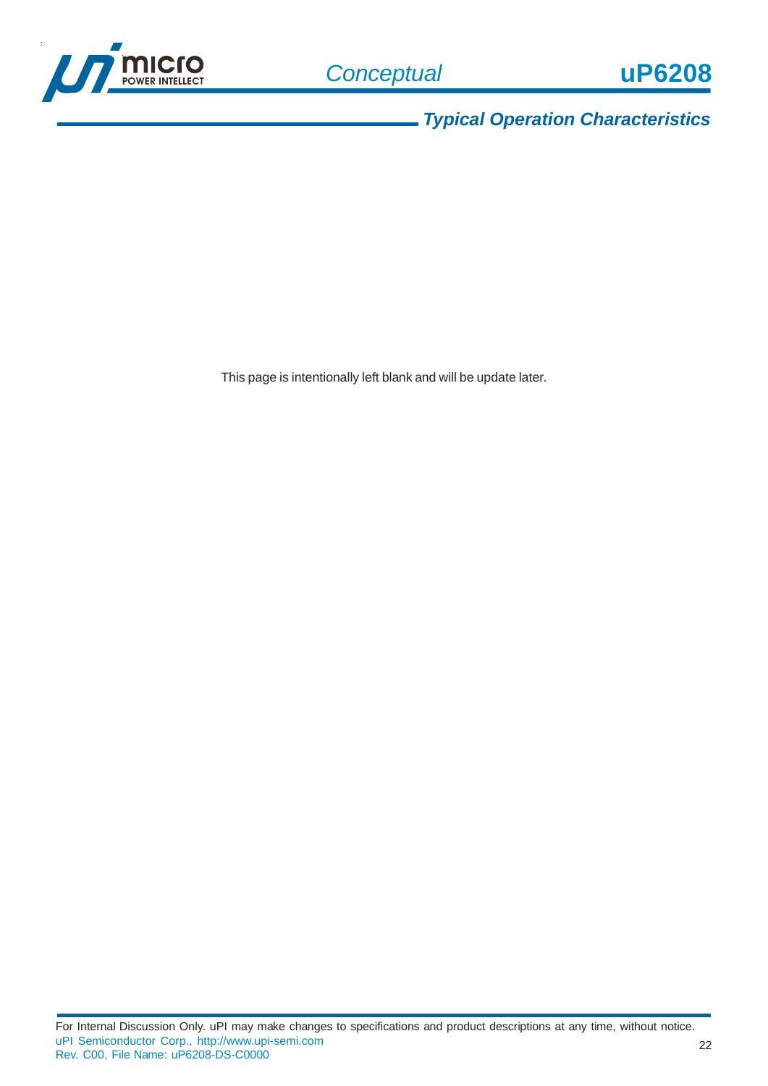

*Typical Operation Characteristics*

This page is intentionally left blank and will be update later.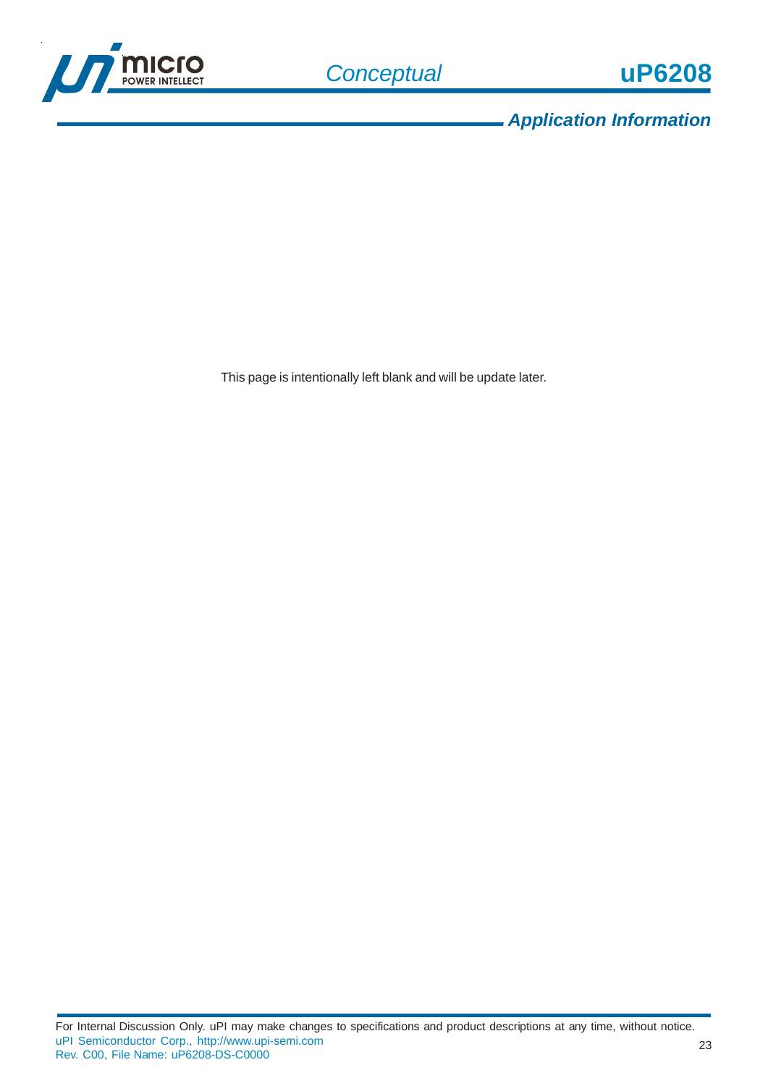

*Application Information*

This page is intentionally left blank and will be update later.